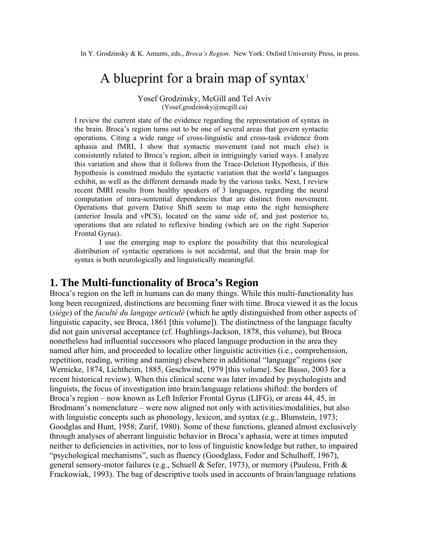# A blueprint for a brain map of syntax<sup>1</sup>

#### Yosef Grodzinsky, McGill and Tel Aviv (Yosef.grodzinsky@mcgill.ca)

I review the current state of the evidence regarding the representation of syntax in the brain. Broca's region turns out to be one of several areas that govern syntactic operations. Citing a wide range of cross-linguistic and cross-task evidence from aphasia and fMRI, I show that syntactic movement (and not much else) is consistently related to Broca's region, albeit in intriguingly varied ways. I analyze this variation and show that it follows from the Trace-Deletion Hypothesis, if this hypothesis is construed modulo the syntactic variation that the world's languages exhibit, as well as the different demands made by the various tasks. Next, I review recent fMRI results from healthy speakers of 3 languages, regarding the neural computation of intra-sentential dependencies that are distinct from movement. Operations that govern Dative Shift seem to map onto the right hemisphere (anterior Insula and vPCS), located on the same side of, and just posterior to, operations that are related to reflexive binding (which are on the right Superior Frontal Gyrus).

I use the emerging map to explore the possibility that this neurological distribution of syntactic operations is not accidental, and that the brain map for syntax is both neurologically and linguistically meaningful.

# **1. The Multi-functionality of Broca's Region**

Broca's region on the left in humans can do many things. While this multi-functionality has long been recognized, distinctions are becoming finer with time. Broca viewed it as the locus (*siége*) of the *faculté du langage articulé* (which he aptly distinguished from other aspects of linguistic capacity, see Broca, 1861 [this volume]). The distinctness of the language faculty did not gain universal acceptance (cf. Hughlings-Jackson, 1878, this volume), but Broca nonetheless had influential successors who placed language production in the area they named after him, and proceeded to localize other linguistic activities (i.e., comprehension, repetition, reading, writing and naming) elsewhere in additional "language" regions (see Wernicke, 1874, Lichtheim, 1885, Geschwind, 1979 [this volume]. See Basso, 2003 for a recent historical review). When this clinical scene was later invaded by psychologists and linguists, the focus of investigation into brain/language relations shifted: the borders of Broca's region – now known as Left Inferior Frontal Gyrus (LIFG), or areas 44, 45, in Brodmann's nomenclature – were now aligned not only with activities/modalities, but also with linguistic concepts such as phonology, lexicon, and syntax (e.g., Blumstein, 1973; Goodglas and Hunt, 1958; Zurif, 1980). Some of these functions, gleaned almost exclusively through analyses of aberrant linguistic behavior in Broca's aphasia, were at times imputed neither to deficiencies in activities, nor to loss of linguistic knowledge but rather, to impaired "psychological mechanisms", such as fluency (Goodglass, Fodor and Schulhoff, 1967), general sensory-motor failures (e.g., Schuell & Sefer, 1973), or memory (Paulesu, Frith & Frackowiak, 1993). The bag of descriptive tools used in accounts of brain/language relations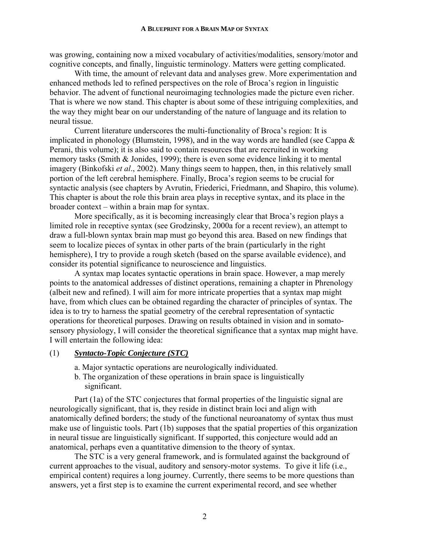#### **A BLUEPRINT FOR A BRAIN MAP OF SYNTAX**

was growing, containing now a mixed vocabulary of activities/modalities, sensory/motor and cognitive concepts, and finally, linguistic terminology. Matters were getting complicated.

With time, the amount of relevant data and analyses grew. More experimentation and enhanced methods led to refined perspectives on the role of Broca's region in linguistic behavior. The advent of functional neuroimaging technologies made the picture even richer. That is where we now stand. This chapter is about some of these intriguing complexities, and the way they might bear on our understanding of the nature of language and its relation to neural tissue.

Current literature underscores the multi-functionality of Broca's region: It is implicated in phonology (Blumstein, 1998), and in the way words are handled (see Cappa & Perani, this volume); it is also said to contain resources that are recruited in working memory tasks (Smith & Jonides, 1999); there is even some evidence linking it to mental imagery (Binkofski *et al*., 2002). Many things seem to happen, then, in this relatively small portion of the left cerebral hemisphere. Finally, Broca's region seems to be crucial for syntactic analysis (see chapters by Avrutin, Friederici, Friedmann, and Shapiro, this volume). This chapter is about the role this brain area plays in receptive syntax, and its place in the broader context – within a brain map for syntax.

More specifically, as it is becoming increasingly clear that Broca's region plays a limited role in receptive syntax (see Grodzinsky, 2000a for a recent review), an attempt to draw a full-blown syntax brain map must go beyond this area. Based on new findings that seem to localize pieces of syntax in other parts of the brain (particularly in the right hemisphere), I try to provide a rough sketch (based on the sparse available evidence), and consider its potential significance to neuroscience and linguistics.

A syntax map locates syntactic operations in brain space. However, a map merely points to the anatomical addresses of distinct operations, remaining a chapter in Phrenology (albeit new and refined). I will aim for more intricate properties that a syntax map might have, from which clues can be obtained regarding the character of principles of syntax. The idea is to try to harness the spatial geometry of the cerebral representation of syntactic operations for theoretical purposes. Drawing on results obtained in vision and in somatosensory physiology, I will consider the theoretical significance that a syntax map might have. I will entertain the following idea:

- (1) *Syntacto-Topic Conjecture (STC)*
	- a. Major syntactic operations are neurologically individuated.
	- b. The organization of these operations in brain space is linguistically significant.

Part (1a) of the STC conjectures that formal properties of the linguistic signal are neurologically significant, that is, they reside in distinct brain loci and align with anatomically defined borders; the study of the functional neuroanatomy of syntax thus must make use of linguistic tools. Part (1b) supposes that the spatial properties of this organization in neural tissue are linguistically significant. If supported, this conjecture would add an anatomical, perhaps even a quantitative dimension to the theory of syntax.

The STC is a very general framework, and is formulated against the background of current approaches to the visual, auditory and sensory-motor systems. To give it life (i.e., empirical content) requires a long journey. Currently, there seems to be more questions than answers, yet a first step is to examine the current experimental record, and see whether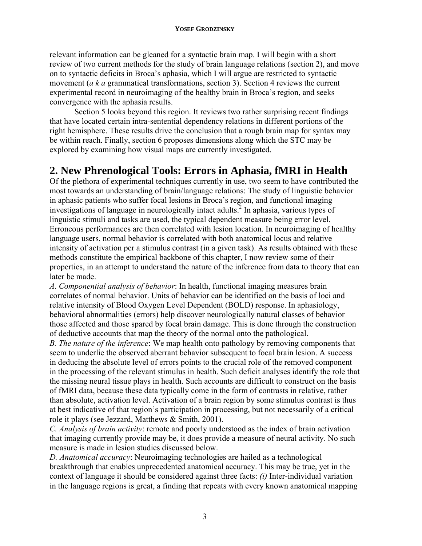relevant information can be gleaned for a syntactic brain map. I will begin with a short review of two current methods for the study of brain language relations (section 2), and move on to syntactic deficits in Broca's aphasia, which I will argue are restricted to syntactic movement (*a k a* grammatical transformations, section 3). Section 4 reviews the current experimental record in neuroimaging of the healthy brain in Broca's region, and seeks convergence with the aphasia results.

Section 5 looks beyond this region. It reviews two rather surprising recent findings that have located certain intra-sentential dependency relations in different portions of the right hemisphere. These results drive the conclusion that a rough brain map for syntax may be within reach. Finally, section 6 proposes dimensions along which the STC may be explored by examining how visual maps are currently investigated.

# **2. New Phrenological Tools: Errors in Aphasia, fMRI in Health**

Of the plethora of experimental techniques currently in use, two seem to have contributed the most towards an understanding of brain/language relations: The study of linguistic behavior in aphasic patients who suffer focal lesions in Broca's region, and functional imaging investigations of language in neurologically intact adults.<sup>2</sup> In aphasia, various types of linguistic stimuli and tasks are used, the typical dependent measure being error level. Erroneous performances are then correlated with lesion location. In neuroimaging of healthy language users, normal behavior is correlated with both anatomical locus and relative intensity of activation per a stimulus contrast (in a given task). As results obtained with these methods constitute the empirical backbone of this chapter, I now review some of their properties, in an attempt to understand the nature of the inference from data to theory that can later be made.

*A*. *Componential analysis of behavior*: In health, functional imaging measures brain correlates of normal behavior. Units of behavior can be identified on the basis of loci and relative intensity of Blood Oxygen Level Dependent (BOLD) response. In aphasiology, behavioral abnormalities (errors) help discover neurologically natural classes of behavior – those affected and those spared by focal brain damage. This is done through the construction of deductive accounts that map the theory of the normal onto the pathological.

*B. The nature of the inference*: We map health onto pathology by removing components that seem to underlie the observed aberrant behavior subsequent to focal brain lesion. A success in deducing the absolute level of errors points to the crucial role of the removed component in the processing of the relevant stimulus in health. Such deficit analyses identify the role that the missing neural tissue plays in health. Such accounts are difficult to construct on the basis of fMRI data, because these data typically come in the form of contrasts in relative, rather than absolute, activation level. Activation of a brain region by some stimulus contrast is thus at best indicative of that region's participation in processing, but not necessarily of a critical role it plays (see Jezzard, Matthews & Smith, 2001).

*C. Analysis of brain activity*: remote and poorly understood as the index of brain activation that imaging currently provide may be, it does provide a measure of neural activity. No such measure is made in lesion studies discussed below.

*D. Anatomical accuracy*: Neuroimaging technologies are hailed as a technological breakthrough that enables unprecedented anatomical accuracy. This may be true, yet in the context of language it should be considered against three facts: *(i)* Inter-individual variation in the language regions is great, a finding that repeats with every known anatomical mapping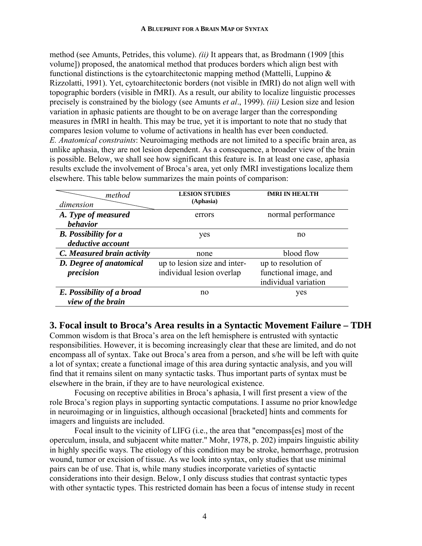method (see Amunts, Petrides, this volume). *(ii)* It appears that, as Brodmann (1909 [this volume]) proposed, the anatomical method that produces borders which align best with functional distinctions is the cytoarchitectonic mapping method (Mattelli, Luppino & Rizzolatti, 1991). Yet, cytoarchitectonic borders (not visible in fMRI) do not align well with topographic borders (visible in fMRI). As a result, our ability to localize linguistic processes precisely is constrained by the biology (see Amunts *et al*., 1999). *(iii)* Lesion size and lesion variation in aphasic patients are thought to be on average larger than the corresponding measures in fMRI in health. This may be true, yet it is important to note that no study that compares lesion volume to volume of activations in health has ever been conducted. *E. Anatomical constraints*: Neuroimaging methods are not limited to a specific brain area, as unlike aphasia, they are not lesion dependent. As a consequence, a broader view of the brain is possible. Below, we shall see how significant this feature is. In at least one case, aphasia results exclude the involvement of Broca's area, yet only fMRI investigations localize them elsewhere. This table below summarizes the main points of comparison:

| method<br>dimension                              | <b>LESION STUDIES</b><br>(Aphasia)                        | <b>fMRI IN HEALTH</b>                                                |  |
|--------------------------------------------------|-----------------------------------------------------------|----------------------------------------------------------------------|--|
| A. Type of measured<br><b>behavior</b>           | errors                                                    | normal performance                                                   |  |
| <b>B.</b> Possibility for a<br>deductive account | yes                                                       | no                                                                   |  |
| C. Measured brain activity                       | none                                                      | blood flow                                                           |  |
| D. Degree of anatomical<br>precision             | up to lesion size and inter-<br>individual lesion overlap | up to resolution of<br>functional image, and<br>individual variation |  |
| E. Possibility of a broad<br>view of the brain   | no                                                        | yes                                                                  |  |

## **3. Focal insult to Broca's Area results in a Syntactic Movement Failure – TDH**

Common wisdom is that Broca's area on the left hemisphere is entrusted with syntactic responsibilities. However, it is becoming increasingly clear that these are limited, and do not encompass all of syntax. Take out Broca's area from a person, and s/he will be left with quite a lot of syntax; create a functional image of this area during syntactic analysis, and you will find that it remains silent on many syntactic tasks. Thus important parts of syntax must be elsewhere in the brain, if they are to have neurological existence.

Focusing on receptive abilities in Broca's aphasia, I will first present a view of the role Broca's region plays in supporting syntactic computations. I assume no prior knowledge in neuroimaging or in linguistics, although occasional [bracketed] hints and comments for imagers and linguists are included.

Focal insult to the vicinity of LIFG (i.e., the area that "encompass[es] most of the operculum, insula, and subjacent white matter." Mohr, 1978, p. 202) impairs linguistic ability in highly specific ways. The etiology of this condition may be stroke, hemorrhage, protrusion wound, tumor or excision of tissue. As we look into syntax, only studies that use minimal pairs can be of use. That is, while many studies incorporate varieties of syntactic considerations into their design. Below, I only discuss studies that contrast syntactic types with other syntactic types. This restricted domain has been a focus of intense study in recent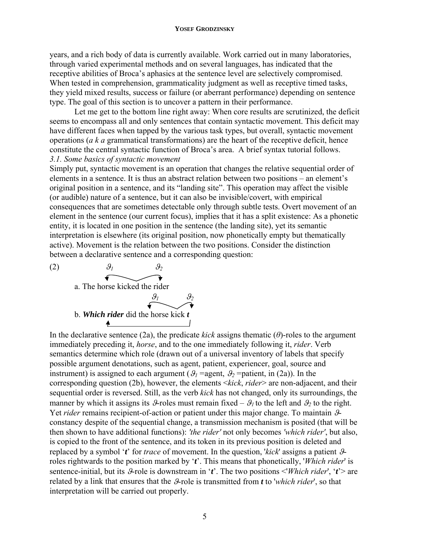years, and a rich body of data is currently available. Work carried out in many laboratories, through varied experimental methods and on several languages, has indicated that the receptive abilities of Broca's aphasics at the sentence level are selectively compromised. When tested in comprehension, grammaticality judgment as well as receptive timed tasks, they yield mixed results, success or failure (or aberrant performance) depending on sentence type. The goal of this section is to uncover a pattern in their performance.

Let me get to the bottom line right away: When core results are scrutinized, the deficit seems to encompass all and only sentences that contain syntactic movement. This deficit may have different faces when tapped by the various task types, but overall, syntactic movement operations (*a k a* grammatical transformations) are the heart of the receptive deficit, hence constitute the central syntactic function of Broca's area. A brief syntax tutorial follows. *3.1. Some basics of syntactic movement* 

Simply put, syntactic movement is an operation that changes the relative sequential order of elements in a sentence. It is thus an abstract relation between two positions – an element's original position in a sentence, and its "landing site". This operation may affect the visible (or audible) nature of a sentence, but it can also be invisible/covert, with empirical consequences that are sometimes detectable only through subtle tests. Overt movement of an element in the sentence (our current focus), implies that it has a split existence: As a phonetic entity, it is located in one position in the sentence (the landing site), yet its semantic interpretation is elsewhere (its original position, now phonetically empty but thematically active). Movement is the relation between the two positions. Consider the distinction between a declarative sentence and a corresponding question:



In the declarative sentence (2a), the predicate *kick* assigns thematic (*θ*)-roles to the argument immediately preceding it, *horse*, and to the one immediately following it, *rider*. Verb semantics determine which role (drawn out of a universal inventory of labels that specify possible argument denotations, such as agent, patient, experiencer, goal, source and instrument) is assigned to each argument ( $\mathcal{G}_1$  =agent,  $\mathcal{G}_2$  =patient, in (2a)). In the corresponding question (2b), however, the elements <*kick*, *rider*> are non-adjacent, and their sequential order is reversed. Still, as the verb *kick* has not changed, only its surroundings, the manner by which it assigns its  $\mathcal{L}$ -roles must remain fixed –  $\mathcal{L}_l$  to the left and  $\mathcal{L}_l$  to the right. Yet *rider* remains recipient-of-action or patient under this major change. To maintain  $\mathcal{P}$ constancy despite of the sequential change, a transmission mechanism is posited (that will be then shown to have additional functions): *'the rider'* not only becomes *'which rider'*, but also, is copied to the front of the sentence, and its token in its previous position is deleted and replaced by a symbol ' $t$ ' for *trace* of movement. In the question, '*kick*' assigns a patient  $\mathcal{P}$ roles rightwards to the position marked by '*t*'. This means that phonetically, '*Which rider*' is sentence-initial, but its  $\mathcal{Y}$ -role is downstream in '*t*'. The two positions  $\leq$ *Which rider'*, '*t*' > are related by a link that ensures that the *9*-role is transmitted from *t* to '*which rider*', so that interpretation will be carried out properly.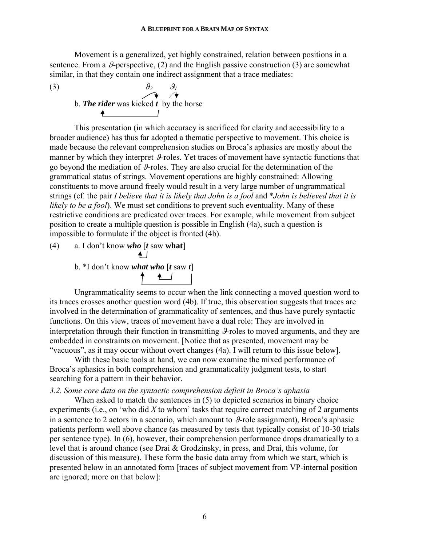Movement is a generalized, yet highly constrained, relation between positions in a sentence. From a  $\mathcal{P}_{\text{perspective}}(2)$  and the English passive construction (3) are somewhat similar, in that they contain one indirect assignment that a trace mediates:

$$
(3)
$$

(3)  $\theta_2 \qquad \theta_l$ b. *The rider* was kicked *t* by the horse  $\uparrow$   $\uparrow$   $\uparrow$ 

 This presentation (in which accuracy is sacrificed for clarity and accessibility to a broader audience) has thus far adopted a thematic perspective to movement. This choice is made because the relevant comprehension studies on Broca's aphasics are mostly about the manner by which they interpret  $\mathcal{G}$ -roles. Yet traces of movement have syntactic functions that go beyond the mediation of ϑ-roles. They are also crucial for the determination of the grammatical status of strings. Movement operations are highly constrained: Allowing constituents to move around freely would result in a very large number of ungrammatical strings (cf. the pair *I believe that it is likely that John is a fool* and \**John is believed that it is likely to be a fool*). We must set conditions to prevent such eventuality. Many of these restrictive conditions are predicated over traces. For example, while movement from subject position to create a multiple question is possible in English (4a), such a question is impossible to formulate if the object is fronted (4b).

(4) a. I don't know *who* [*t* saw **what**]

b. \*I don't know *what who* [*t* saw *t*]

 $+$  |

 $\uparrow$   $\uparrow$ 

Ungrammaticality seems to occur when the link connecting a moved question word to its traces crosses another question word (4b). If true, this observation suggests that traces are involved in the determination of grammaticality of sentences, and thus have purely syntactic functions. On this view, traces of movement have a dual role: They are involved in interpretation through their function in transmitting  $\mathcal{Y}$ -roles to moved arguments, and they are embedded in constraints on movement. [Notice that as presented, movement may be "vacuous", as it may occur without overt changes (4a). I will return to this issue below].

With these basic tools at hand, we can now examine the mixed performance of Broca's aphasics in both comprehension and grammaticality judgment tests, to start searching for a pattern in their behavior.

### *3.2. Some core data on the syntactic comprehension deficit in Broca's aphasia*

When asked to match the sentences in  $(5)$  to depicted scenarios in binary choice experiments (i.e., on 'who did *X* to whom' tasks that require correct matching of 2 arguments in a sentence to 2 actors in a scenario, which amount to  $\mathcal{S}$ -role assignment), Broca's aphasic patients perform well above chance (as measured by tests that typically consist of 10-30 trials per sentence type). In (6), however, their comprehension performance drops dramatically to a level that is around chance (see Drai & Grodzinsky, in press, and Drai, this volume, for discussion of this measure). These form the basic data array from which we start, which is presented below in an annotated form [traces of subject movement from VP-internal position are ignored; more on that below]: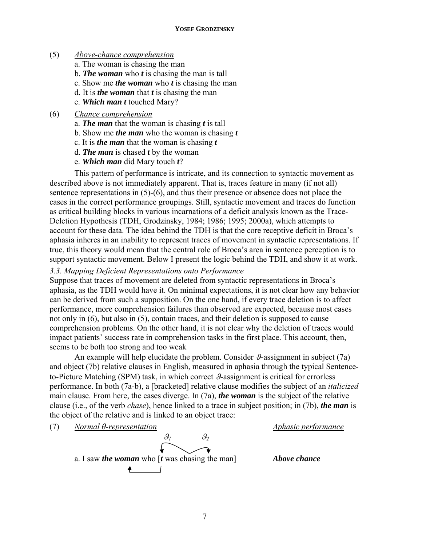- (5) *Above-chance comprehension*
	- a. The woman is chasing the man
	- b. *The woman* who *t* is chasing the man is tall
	- c. Show me *the woman* who *t* is chasing the man
	- d. It is *the woman* that *t* is chasing the man
	- e. *Which man t* touched Mary?

## (6)*Chance comprehension*

- a. *The man* that the woman is chasing *t* is tall
- b. Show me *the man* who the woman is chasing *t*
- c. It is *the man* that the woman is chasing *t*
- d. *The man* is chased *t* by the woman
- e. *Which man* did Mary touch *t*?

This pattern of performance is intricate, and its connection to syntactic movement as described above is not immediately apparent. That is, traces feature in many (if not all) sentence representations in (5)-(6), and thus their presence or absence does not place the cases in the correct performance groupings. Still, syntactic movement and traces do function as critical building blocks in various incarnations of a deficit analysis known as the Trace-Deletion Hypothesis (TDH, Grodzinsky, 1984; 1986; 1995; 2000a), which attempts to account for these data. The idea behind the TDH is that the core receptive deficit in Broca's aphasia inheres in an inability to represent traces of movement in syntactic representations. If true, this theory would mean that the central role of Broca's area in sentence perception is to support syntactic movement. Below I present the logic behind the TDH, and show it at work.

## *3.3. Mapping Deficient Representations onto Performance*

Suppose that traces of movement are deleted from syntactic representations in Broca's aphasia, as the TDH would have it. On minimal expectations, it is not clear how any behavior can be derived from such a supposition. On the one hand, if every trace deletion is to affect performance, more comprehension failures than observed are expected, because most cases not only in (6), but also in (5), contain traces, and their deletion is supposed to cause comprehension problems. On the other hand, it is not clear why the deletion of traces would impact patients' success rate in comprehension tasks in the first place. This account, then, seems to be both too strong and too weak

An example will help elucidate the problem. Consider  $\mathcal{S}$ -assignment in subject (7a) and object (7b) relative clauses in English, measured in aphasia through the typical Sentenceto-Picture Matching (SPM) task, in which correct  $\mathcal{Y}$ -assignment is critical for errorless performance. In both (7a-b), a [bracketed] relative clause modifies the subject of an *italicized*  main clause. From here, the cases diverge. In (7a), *the woman* is the subject of the relative clause (i.e., of the verb *chase*), hence linked to a trace in subject position; in (7b), *the man* is the object of the relative and is linked to an object trace:

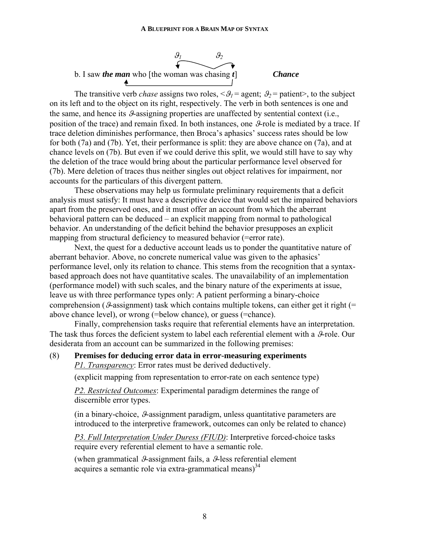

The transitive verb *chase* assigns two roles,  $\langle \vartheta_l =$  agent;  $\vartheta_2 =$  patient $\rangle$ , to the subject on its left and to the object on its right, respectively. The verb in both sentences is one and the same, and hence its  $\mathcal{G}$ -assigning properties are unaffected by sentential context (i.e., position of the trace) and remain fixed. In both instances, one  $\mathcal{S}$ -role is mediated by a trace. If trace deletion diminishes performance, then Broca's aphasics' success rates should be low for both (7a) and (7b). Yet, their performance is split: they are above chance on (7a), and at chance levels on (7b). But even if we could derive this split, we would still have to say why the deletion of the trace would bring about the particular performance level observed for (7b). Mere deletion of traces thus neither singles out object relatives for impairment, nor accounts for the particulars of this divergent pattern.

These observations may help us formulate preliminary requirements that a deficit analysis must satisfy: It must have a descriptive device that would set the impaired behaviors apart from the preserved ones, and it must offer an account from which the aberrant behavioral pattern can be deduced – an explicit mapping from normal to pathological behavior. An understanding of the deficit behind the behavior presupposes an explicit mapping from structural deficiency to measured behavior (=error rate).

Next, the quest for a deductive account leads us to ponder the quantitative nature of aberrant behavior. Above, no concrete numerical value was given to the aphasics' performance level, only its relation to chance. This stems from the recognition that a syntaxbased approach does not have quantitative scales. The unavailability of an implementation (performance model) with such scales, and the binary nature of the experiments at issue, leave us with three performance types only: A patient performing a binary-choice comprehension ( $\theta$ -assignment) task which contains multiple tokens, can either get it right (= above chance level), or wrong (=below chance), or guess (=chance).

Finally, comprehension tasks require that referential elements have an interpretation. The task thus forces the deficient system to label each referential element with a  $\mathcal{Y}$ -role. Our desiderata from an account can be summarized in the following premises:

### (8) **Premises for deducing error data in error-measuring experiments** *P1. Transparency*: Error rates must be derived deductively.

(explicit mapping from representation to error-rate on each sentence type)

*P2. Restricted Outcomes*: Experimental paradigm determines the range of discernible error types.

(in a binary-choice, ϑ-assignment paradigm, unless quantitative parameters are introduced to the interpretive framework, outcomes can only be related to chance)

*P3. Full Interpretation Under Duress (FIUD)*: Interpretive forced-choice tasks require every referential element to have a semantic role.

(when grammatical ϑ-assignment fails, a ϑ-less referential element  $\alpha$ cquires a semantic role via extra-grammatical means)<sup>34</sup>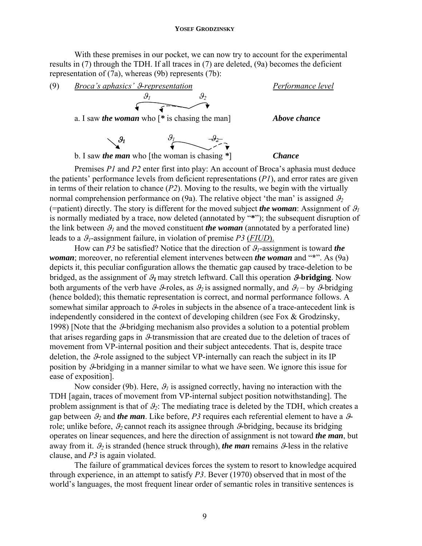With these premises in our pocket, we can now try to account for the experimental results in (7) through the TDH. If all traces in (7) are deleted, (9a) becomes the deficient representation of (7a), whereas (9b) represents (7b):



b. I saw *the man* who [the woman is chasing *\**] *Chance*

Premises *P1* and *P2* enter first into play: An account of Broca's aphasia must deduce the patients' performance levels from deficient representations (*P1*), and error rates are given in terms of their relation to chance (*P2*). Moving to the results, we begin with the virtually normal comprehension performance on  $(9a)$ . The relative object 'the man' is assigned  $\mathcal{G}_2$ (=patient) directly. The story is different for the moved subject *the woman*: Assignment of  $\mathcal{G}_l$ is normally mediated by a trace, now deleted (annotated by "**\***"); the subsequent disruption of the link between  $\mathcal{G}_l$  and the moved constituent *the woman* (annotated by a perforated line) leads to a ϑ*1*-assignment failure, in violation of premise *P3* (*FIUD*).

How can *P3* be satisfied? Notice that the direction of ϑ*1*-assignment is toward *the woman*; moreover, no referential element intervenes between *the woman* and "\*". As (9a) depicts it, this peculiar configuration allows the thematic gap caused by trace-deletion to be bridged, as the assignment of ϑ*<sup>1</sup>* may stretch leftward. Call this operation ϑ**-bridging**. Now both arguments of the verb have  $\mathcal{F}$ -roles, as  $\mathcal{G}_2$  is assigned normally, and  $\mathcal{G}_1$  – by  $\mathcal{F}$ -bridging (hence bolded); this thematic representation is correct, and normal performance follows. A somewhat similar approach to  $\mathcal{L}$ -roles in subjects in the absence of a trace-antecedent link is independently considered in the context of developing children (see Fox & Grodzinsky, 1998) [Note that the ϑ**-**bridging mechanism also provides a solution to a potential problem that arises regarding gaps in  $\beta$ -transmission that are created due to the deletion of traces of movement from VP-internal position and their subject antecedents. That is, despite trace deletion, the ϑ**-**role assigned to the subject VP-internally can reach the subject in its IP position by ϑ**-**bridging in a manner similar to what we have seen. We ignore this issue for ease of exposition].

Now consider (9b). Here,  $\mathcal{G}_l$  is assigned correctly, having no interaction with the TDH [again, traces of movement from VP-internal subject position notwithstanding]. The problem assignment is that of  $\mathcal{G}_2$ : The mediating trace is deleted by the TDH, which creates a gap between ϑ*2* and *the man*. Like before, *P3* requires each referential element to have a ϑrole; unlike before, ϑ*2* cannot reach its assignee through ϑ**-**bridging, because its bridging operates on linear sequences, and here the direction of assignment is not toward *the man*, but away from it.  $\mathcal{G}_2$  is stranded (hence struck through), *the man* remains  $\mathcal{G}$ -less in the relative clause, and *P3* is again violated.

The failure of grammatical devices forces the system to resort to knowledge acquired through experience, in an attempt to satisfy *P3*. Bever (1970) observed that in most of the world's languages, the most frequent linear order of semantic roles in transitive sentences is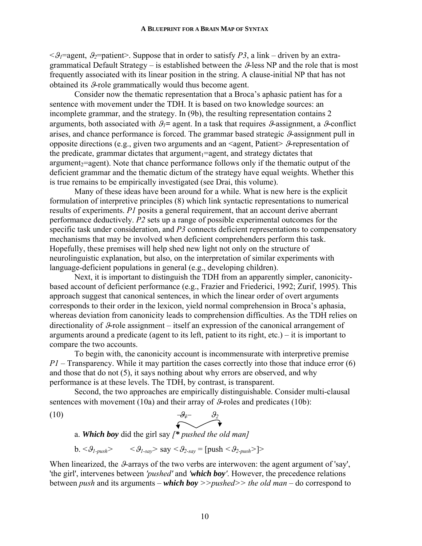$\langle \mathcal{S}_l$ =agent,  $\mathcal{S}_2$ =patient>. Suppose that in order to satisfy *P3*, a link – driven by an extragrammatical Default Strategy – is established between the  $\mathcal{S}$ -less NP and the role that is most frequently associated with its linear position in the string. A clause-initial NP that has not obtained its ϑ-role grammatically would thus become agent.

Consider now the thematic representation that a Broca's aphasic patient has for a sentence with movement under the TDH. It is based on two knowledge sources: an incomplete grammar, and the strategy. In (9b), the resulting representation contains 2 arguments, both associated with  $\mathcal{G}_l$  = agent. In a task that requires  $\mathcal{G}_l$ -assignment, a  $\mathcal{G}_l$ -conflict arises, and chance performance is forced. The grammar based strategic  $\mathcal{G}$ -assignment pull in opposite directions (e.g., given two arguments and an <agent, Patient> ϑ**-**representation of the predicate, grammar dictates that argument $_1$ =agent, and strategy dictates that  $argument<sub>2</sub>=agent$ ). Note that chance performance follows only if the thematic output of the deficient grammar and the thematic dictum of the strategy have equal weights. Whether this is true remains to be empirically investigated (see Drai, this volume).

Many of these ideas have been around for a while. What is new here is the explicit formulation of interpretive principles (8) which link syntactic representations to numerical results of experiments. *P1* posits a general requirement, that an account derive aberrant performance deductively. *P2* sets up a range of possible experimental outcomes for the specific task under consideration, and *P3* connects deficient representations to compensatory mechanisms that may be involved when deficient comprehenders perform this task. Hopefully, these premises will help shed new light not only on the structure of neurolinguistic explanation, but also, on the interpretation of similar experiments with language-deficient populations in general (e.g., developing children).

Next, it is important to distinguish the TDH from an apparently simpler, canonicitybased account of deficient performance (e.g., Frazier and Friederici, 1992; Zurif, 1995). This approach suggest that canonical sentences, in which the linear order of overt arguments corresponds to their order in the lexicon, yield normal comprehension in Broca's aphasia, whereas deviation from canonicity leads to comprehension difficulties. As the TDH relies on directionality of  $\mathcal{F}$ -role assignment – itself an expression of the canonical arrangement of arguments around a predicate (agent to its left, patient to its right, etc.) – it is important to compare the two accounts.

To begin with, the canonicity account is incommensurate with interpretive premise *P1* – Transparency. While it may partition the cases correctly into those that induce error (6) and those that do not (5), it says nothing about why errors are observed, and why performance is at these levels. The TDH, by contrast, is transparent.

Second, the two approaches are empirically distinguishable. Consider multi-clausal sentences with movement (10a) and their array of  $\mathcal{G}$ -roles and predicates (10b):

$$
\overbrace{\hspace{1.5cm}}^{(10)} \overbrace{\hspace{1.5cm}}^{3_2}
$$

a. *Which boy* did the girl say *[\* pushed the old man]*

$$
b. <9l-push > <9l-say > say <92-say = [push <92-push >]
$$

When linearized, the  $\vartheta$ -arrays of the two verbs are interwoven: the agent argument of 'say', 'the girl', intervenes between *'pushed'* and *'which boy'*. However, the precedence relations between *push* and its arguments – *which boy >>pushed>> the old man* – do correspond to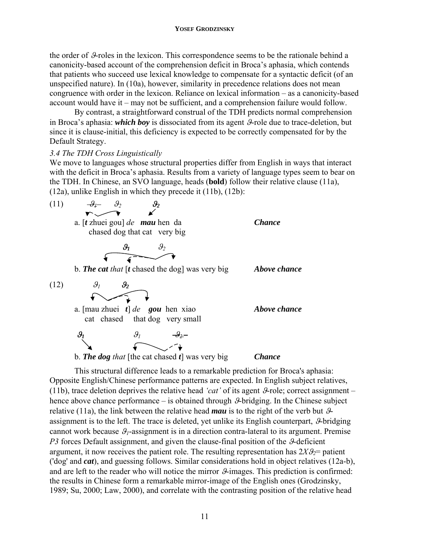the order of ϑ-roles in the lexicon. This correspondence seems to be the rationale behind a canonicity-based account of the comprehension deficit in Broca's aphasia, which contends that patients who succeed use lexical knowledge to compensate for a syntactic deficit (of an unspecified nature). In (10a), however, similarity in precedence relations does not mean congruence with order in the lexicon. Reliance on lexical information – as a canonicity-based account would have it – may not be sufficient, and a comprehension failure would follow.

By contrast, a straightforward construal of the TDH predicts normal comprehension in Broca's aphasia: *which boy* is dissociated from its agent  $\theta$ -role due to trace-deletion, but since it is clause-initial, this deficiency is expected to be correctly compensated for by the Default Strategy.

## *3.4 The TDH Cross Linguistically*

We move to languages whose structural properties differ from English in ways that interact with the deficit in Broca's aphasia. Results from a variety of language types seem to bear on the TDH. In Chinese, an SVO language, heads (**bold**) follow their relative clause (11a), (12a), unlike English in which they precede it (11b), (12b):



This structural difference leads to a remarkable prediction for Broca's aphasia: Opposite English/Chinese performance patterns are expected. In English subject relatives, (11b), trace deletion deprives the relative head *'cat'* of its agent  $\mathcal{F}$ -role; correct assignment – hence above chance performance – is obtained through *9*-bridging. In the Chinese subject relative (11a), the link between the relative head *mau* is to the right of the verb but  $\mathcal{P}$ assignment is to the left. The trace is deleted, yet unlike its English counterpart,  $\mathcal{P}$ -bridging cannot work because  $\mathcal{G}_1$ -assignment is in a direction contra-lateral to its argument. Premise *P3* forces Default assignment, and given the clause-final position of the *9*-deficient argument, it now receives the patient role. The resulting representation has  $2X\theta_2$ = patient ('dog' and *cat*), and guessing follows. Similar considerations hold in object relatives (12a-b), and are left to the reader who will notice the mirror  $\mathcal{F}$ -images. This prediction is confirmed: the results in Chinese form a remarkable mirror-image of the English ones (Grodzinsky, 1989; Su, 2000; Law, 2000), and correlate with the contrasting position of the relative head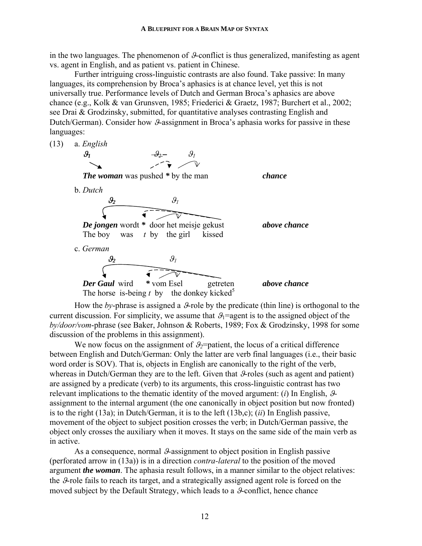in the two languages. The phenomenon of  $\mathcal{L}$  conflict is thus generalized, manifesting as agent vs. agent in English, and as patient vs. patient in Chinese.

Further intriguing cross-linguistic contrasts are also found. Take passive: In many languages, its comprehension by Broca's aphasics is at chance level, yet this is not universally true. Performance levels of Dutch and German Broca's aphasics are above chance (e.g., Kolk & van Grunsven, 1985; Friederici & Graetz, 1987; Burchert et al., 2002; see Drai & Grodzinsky, submitted, for quantitative analyses contrasting English and Dutch/German). Consider how *9*-assignment in Broca's aphasia works for passive in these languages:

(13)a. *English* 



How the  $by$ -phrase is assigned a  $\mathcal{P}$ -role by the predicate (thin line) is orthogonal to the current discussion. For simplicity, we assume that  $\mathcal{G}_1$ =agent is to the assigned object of the *by/door/vom*-phrase (see Baker, Johnson & Roberts, 1989; Fox & Grodzinsky, 1998 for some discussion of the problems in this assignment).

We now focus on the assignment of  $\mathcal{G}_2$ =patient, the locus of a critical difference between English and Dutch/German: Only the latter are verb final languages (i.e., their basic word order is SOV). That is, objects in English are canonically to the right of the verb, whereas in Dutch/German they are to the left. Given that  $\mathcal{P}$ -roles (such as agent and patient) are assigned by a predicate (verb) to its arguments, this cross-linguistic contrast has two relevant implications to the thematic identity of the moved argument: (*i*) In English, ϑassignment to the internal argument (the one canonically in object position but now fronted) is to the right (13a); in Dutch/German, it is to the left (13b,c); (*ii*) In English passive, movement of the object to subject position crosses the verb; in Dutch/German passive, the object only crosses the auxiliary when it moves. It stays on the same side of the main verb as in active.

As a consequence, normal *S*-assignment to object position in English passive (perforated arrow in (13a)) is in a direction *contra-lateral* to the position of the moved argument *the woman*. The aphasia result follows, in a manner similar to the object relatives: the ϑ-role fails to reach its target, and a strategically assigned agent role is forced on the moved subject by the Default Strategy, which leads to a  $\mathcal{F}$ -conflict, hence chance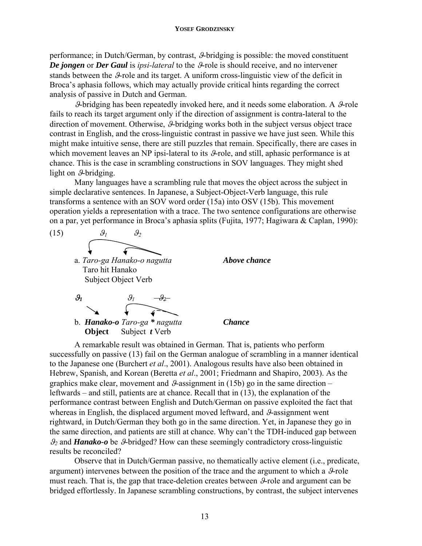performance; in Dutch/German, by contrast, *9*-bridging is possible: the moved constituent *De jongen* or *Der Gaul* is *ipsi-lateral* to the *9*-role is should receive, and no intervener stands between the *9*-role and its target. A uniform cross-linguistic view of the deficit in Broca's aphasia follows, which may actually provide critical hints regarding the correct analysis of passive in Dutch and German.

ϑ-bridging has been repeatedly invoked here, and it needs some elaboration. A ϑ-role fails to reach its target argument only if the direction of assignment is contra-lateral to the direction of movement. Otherwise,  $\mathcal{P}$ -bridging works both in the subject versus object trace contrast in English, and the cross-linguistic contrast in passive we have just seen. While this might make intuitive sense, there are still puzzles that remain. Specifically, there are cases in which movement leaves an NP ipsi-lateral to its  $\mathcal{F}$ -role, and still, aphasic performance is at chance. This is the case in scrambling constructions in SOV languages. They might shed light on *9*-bridging.

Many languages have a scrambling rule that moves the object across the subject in simple declarative sentences. In Japanese, a Subject-Object-Verb language, this rule transforms a sentence with an SOV word order (15a) into OSV (15b). This movement operation yields a representation with a trace. The two sentence configurations are otherwise on a par, yet performance in Broca's aphasia splits (Fujita, 1977; Hagiwara & Caplan, 1990):



A remarkable result was obtained in German. That is, patients who perform successfully on passive (13) fail on the German analogue of scrambling in a manner identical to the Japanese one (Burchert *et al*., 2001). Analogous results have also been obtained in Hebrew, Spanish, and Korean (Beretta *et al*., 2001; Friedmann and Shapiro, 2003). As the graphics make clear, movement and  $\mathcal{L}$ -assignment in (15b) go in the same direction – leftwards – and still, patients are at chance. Recall that in (13), the explanation of the performance contrast between English and Dutch/German on passive exploited the fact that whereas in English, the displaced argument moved leftward, and  $\mathcal{P}$ -assignment went rightward, in Dutch/German they both go in the same direction. Yet, in Japanese they go in the same direction, and patients are still at chance. Why can't the TDH-induced gap between <sup>ϑ</sup>*<sup>2</sup>* and *Hanako-o* be ϑ-bridged? How can these seemingly contradictory cross-linguistic results be reconciled?

Observe that in Dutch/German passive, no thematically active element (i.e., predicate, argument) intervenes between the position of the trace and the argument to which a  $\mathcal{P}$ -role must reach. That is, the gap that trace-deletion creates between  $\mathcal{P}$ -role and argument can be bridged effortlessly. In Japanese scrambling constructions, by contrast, the subject intervenes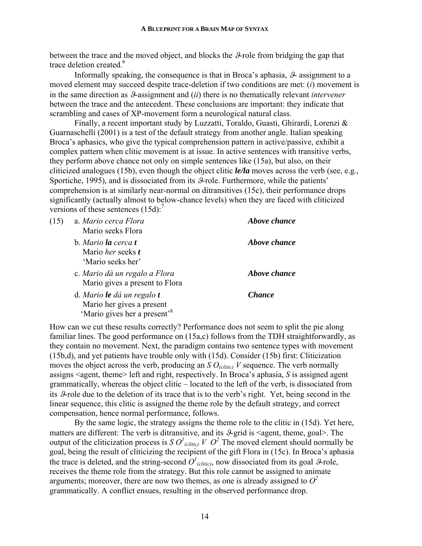between the trace and the moved object, and blocks the 9-role from bridging the gap that trace deletion created.<sup>6</sup>

Informally speaking, the consequence is that in Broca's aphasia,  $\mathcal{P}$  assignment to a moved element may succeed despite trace-deletion if two conditions are met: (*i*) movement is in the same direction as  $\mathcal{S}$ -assignment and *(ii)* there is no thematically relevant *intervener* between the trace and the antecedent. These conclusions are important: they indicate that scrambling and cases of XP-movement form a neurological natural class.

Finally, a recent important study by Luzzatti, Toraldo, Guasti, Ghirardi, Lorenzi & Guarnaschelli (2001) is a test of the default strategy from another angle. Italian speaking Broca's aphasics, who give the typical comprehension pattern in active/passive, exhibit a complex pattern when clitic movement is at issue. In active sentences with transitive verbs, they perform above chance not only on simple sentences like (15a), but also, on their cliticized analogues (15b), even though the object clitic *le/la* moves across the verb (see, e.g., Sportiche, 1995), and is dissociated from its  $\mathcal{P}$ -role. Furthermore, while the patients' comprehension is at similarly near-normal on ditransitives (15c), their performance drops significantly (actually almost to below-chance levels) when they are faced with cliticized versions of these sentences  $(15d)$ :<sup>7</sup>

| (15) | a. Mario cerca Flora<br>Mario seeks Flora                                                           | Above chance  |
|------|-----------------------------------------------------------------------------------------------------|---------------|
|      | b. Mario <b>la</b> cerca <b>t</b><br>Mario her seeks t<br>'Mario seeks her'                         | Above chance  |
|      | c. Mario dà un regalo a Flora<br>Mario gives a present to Flora                                     | Above chance  |
|      | d. Mario le dà un regalo t<br>Mario her gives a present<br>'Mario gives her a present' <sup>8</sup> | <i>Chance</i> |

How can we cut these results correctly? Performance does not seem to split the pie along familiar lines. The good performance on (15a,c) follows from the TDH straightforwardly, as they contain no movement. Next, the paradigm contains two sentence types with movement (15b,d), and yet patients have trouble only with (15d). Consider (15b) first: Cliticization moves the object across the verb, producing an *S O<sub>(clitic</sub>) V* sequence. The verb normally assigns <agent, theme> left and right, respectively. In Broca's aphasia, *S* is assigned agent grammatically, whereas the object clitic – located to the left of the verb, is dissociated from its ϑ-role due to the deletion of its trace that is to the verb's right. Yet, being second in the linear sequence, this clitic is assigned the theme role by the default strategy, and correct compensation, hence normal performance, follows.

By the same logic, the strategy assigns the theme role to the clitic in (15d). Yet here, matters are different: The verb is ditransitive, and its  $\mathcal{S}\text{-grid}$  is  $\leq$  agent, theme, goal  $>$ . The output of the cliticization process is *S*  $O<sup>I</sup>$ <sub>(clitic)</sub> *V*  $O<sup>2</sup>$  The moved element should normally be goal, being the result of cliticizing the recipient of the gift Flora in (15c). In Broca's aphasia the trace is deleted, and the string-second  $O<sup>1</sup>$  *(clitic)*, now dissociated from its goal  $\mathcal{Y}$ -role, receives the theme role from the strategy. But this role cannot be assigned to animate arguments; moreover, there are now two themes, as one is already assigned to  $O^2$ grammatically. A conflict ensues, resulting in the observed performance drop.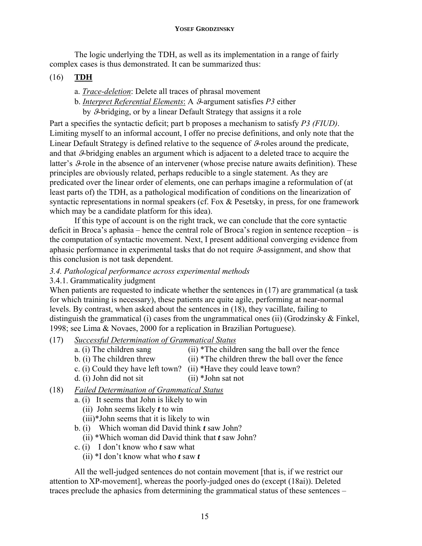The logic underlying the TDH, as well as its implementation in a range of fairly complex cases is thus demonstrated. It can be summarized thus:

## (16) **TDH**

- a. *Trace-deletion*: Delete all traces of phrasal movement
- b. *Interpret Referential Elements*: A ϑ-argument satisfies *P3* either by ϑ-bridging, or by a linear Default Strategy that assigns it a role

Part a specifies the syntactic deficit; part b proposes a mechanism to satisfy *P3 (FIUD)*. Limiting myself to an informal account, I offer no precise definitions, and only note that the Linear Default Strategy is defined relative to the sequence of  $\mathcal{F}$ -roles around the predicate, and that  $\alpha$ -bridging enables an argument which is adjacent to a deleted trace to acquire the latter's  $\mathcal{S}$ -role in the absence of an intervener (whose precise nature awaits definition). These principles are obviously related, perhaps reducible to a single statement. As they are predicated over the linear order of elements, one can perhaps imagine a reformulation of (at least parts of) the TDH, as a pathological modification of conditions on the linearization of syntactic representations in normal speakers (cf. Fox & Pesetsky, in press, for one framework which may be a candidate platform for this idea).

If this type of account is on the right track, we can conclude that the core syntactic deficit in Broca's aphasia – hence the central role of Broca's region in sentence reception – is the computation of syntactic movement. Next, I present additional converging evidence from aphasic performance in experimental tasks that do not require  $\mathcal{P}$ -assignment, and show that this conclusion is not task dependent.

*3.4. Pathological performance across experimental methods* 

## 3.4.1. Grammaticality judgment

When patients are requested to indicate whether the sentences in (17) are grammatical (a task for which training is necessary), these patients are quite agile, performing at near-normal levels. By contrast, when asked about the sentences in (18), they vacillate, failing to distinguish the grammatical (i) cases from the ungrammatical ones (ii) (Grodzinsky & Finkel, 1998; see Lima & Novaes, 2000 for a replication in Brazilian Portuguese).

(17) *Successful Determination of Grammatical Status*

- $(ii)$  \*The children sang the ball over the fence b. (i) The children threw (ii) \*The children threw the ball over the fence
- c. (i) Could they have left town? (ii) \*Have they could leave town?
- - d. (i) John did not sit (ii) \*John sat not
- (18) *Failed Determination of Grammatical Status*
	- a. (i) It seems that John is likely to win
		- (ii) John seems likely *t* to win
		- (iii)\*John seems that it is likely to win
	- b. (i) Which woman did David think *t* saw John?
		- (ii) \*Which woman did David think that *t* saw John?
	- c. (i) I don't know who *t* saw what
		- (ii) \*I don't know what who *t* saw *t*

All the well-judged sentences do not contain movement [that is, if we restrict our attention to XP-movement], whereas the poorly-judged ones do (except (18ai)). Deleted traces preclude the aphasics from determining the grammatical status of these sentences –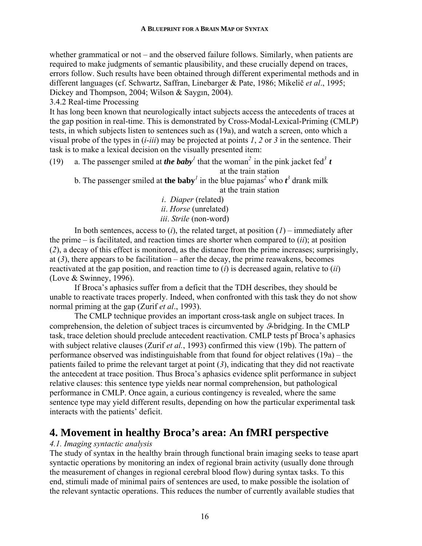whether grammatical or not – and the observed failure follows. Similarly, when patients are required to make judgments of semantic plausibility, and these crucially depend on traces, errors follow. Such results have been obtained through different experimental methods and in different languages (cf. Schwartz, Saffran, Linebarger & Pate, 1986; Mikelič *et al*., 1995; Dickey and Thompson, 2004; Wilson & Saygın, 2004).

3.4.2 Real-time Processing

It has long been known that neurologically intact subjects access the antecedents of traces at the gap position in real-time. This is demonstrated by Cross-Modal-Lexical-Priming (CMLP) tests, in which subjects listen to sentences such as (19a), and watch a screen, onto which a visual probe of the types in (*i*-*iii*) may be projected at points *1*, *2* or *3* in the sentence. Their task is to make a lexical decision on the visually presented item:

- (19) a. The passenger smiled at *the baby<sup>1</sup>* that the woman<sup>2</sup> in the pink jacket fed<sup>3</sup> *t*  at the train station
	- b. The passenger smiled at **the baby**<sup>*l*</sup> in the blue pajamas<sup>2</sup> who  $t^3$  drank milk at the train station
		- *i*. *Diaper* (related) *ii*. *Horse* (unrelated) *iii*. *Strile* (non-word)

In both sentences, access to  $(i)$ , the related target, at position  $(I)$  – immediately after the prime  $-$  is facilitated, and reaction times are shorter when compared to  $(ii)$ ; at position (*2*), a decay of this effect is monitored, as the distance from the prime increases; surprisingly, at  $(3)$ , there appears to be facilitation – after the decay, the prime reawakens, becomes reactivated at the gap position, and reaction time to (*i*) is decreased again, relative to (*ii*) (Love & Swinney, 1996).

If Broca's aphasics suffer from a deficit that the TDH describes, they should be unable to reactivate traces properly. Indeed, when confronted with this task they do not show normal priming at the gap (Zurif *et al*., 1993).

The CMLP technique provides an important cross-task angle on subject traces. In comprehension, the deletion of subject traces is circumvented by  $\mathcal{P}$ -bridging. In the CMLP task, trace deletion should preclude antecedent reactivation. CMLP tests pf Broca's aphasics with subject relative clauses (Zurif *et al.*, 1993) confirmed this view (19b). The pattern of performance observed was indistinguishable from that found for object relatives (19a) – the patients failed to prime the relevant target at point (*3*), indicating that they did not reactivate the antecedent at trace position. Thus Broca's aphasics evidence split performance in subject relative clauses: this sentence type yields near normal comprehension, but pathological performance in CMLP. Once again, a curious contingency is revealed, where the same sentence type may yield different results, depending on how the particular experimental task interacts with the patients' deficit.

# **4. Movement in healthy Broca's area: An fMRI perspective**

## *4.1. Imaging syntactic analysis*

The study of syntax in the healthy brain through functional brain imaging seeks to tease apart syntactic operations by monitoring an index of regional brain activity (usually done through the measurement of changes in regional cerebral blood flow) during syntax tasks. To this end, stimuli made of minimal pairs of sentences are used, to make possible the isolation of the relevant syntactic operations. This reduces the number of currently available studies that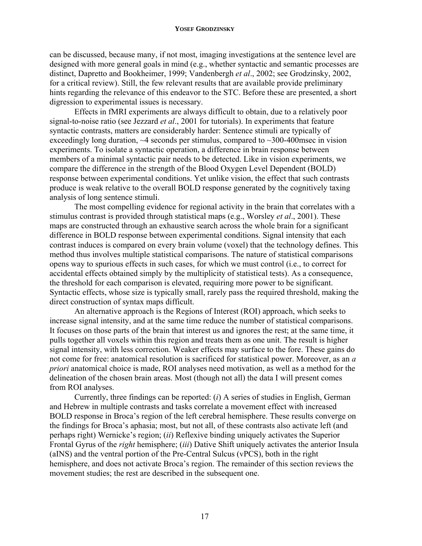can be discussed, because many, if not most, imaging investigations at the sentence level are designed with more general goals in mind (e.g., whether syntactic and semantic processes are distinct, Dapretto and Bookheimer, 1999; Vandenbergh *et al*., 2002; see Grodzinsky, 2002, for a critical review). Still, the few relevant results that are available provide preliminary hints regarding the relevance of this endeavor to the STC. Before these are presented, a short digression to experimental issues is necessary.

Effects in fMRI experiments are always difficult to obtain, due to a relatively poor signal-to-noise ratio (see Jezzard *et al*., 2001 for tutorials). In experiments that feature syntactic contrasts, matters are considerably harder: Sentence stimuli are typically of exceedingly long duration,  $\sim$ 4 seconds per stimulus, compared to  $\sim$ 300-400msec in vision experiments. To isolate a syntactic operation, a difference in brain response between members of a minimal syntactic pair needs to be detected. Like in vision experiments, we compare the difference in the strength of the Blood Oxygen Level Dependent (BOLD) response between experimental conditions. Yet unlike vision, the effect that such contrasts produce is weak relative to the overall BOLD response generated by the cognitively taxing analysis of long sentence stimuli.

The most compelling evidence for regional activity in the brain that correlates with a stimulus contrast is provided through statistical maps (e.g., Worsley *et al*., 2001). These maps are constructed through an exhaustive search across the whole brain for a significant difference in BOLD response between experimental conditions. Signal intensity that each contrast induces is compared on every brain volume (voxel) that the technology defines. This method thus involves multiple statistical comparisons. The nature of statistical comparisons opens way to spurious effects in such cases, for which we must control (i.e., to correct for accidental effects obtained simply by the multiplicity of statistical tests). As a consequence, the threshold for each comparison is elevated, requiring more power to be significant. Syntactic effects, whose size is typically small, rarely pass the required threshold, making the direct construction of syntax maps difficult.

An alternative approach is the Regions of Interest (ROI) approach, which seeks to increase signal intensity, and at the same time reduce the number of statistical comparisons. It focuses on those parts of the brain that interest us and ignores the rest; at the same time, it pulls together all voxels within this region and treats them as one unit. The result is higher signal intensity, with less correction. Weaker effects may surface to the fore. These gains do not come for free: anatomical resolution is sacrificed for statistical power. Moreover, as an *a priori* anatomical choice is made, ROI analyses need motivation, as well as a method for the delineation of the chosen brain areas. Most (though not all) the data I will present comes from ROI analyses.

Currently, three findings can be reported: (*i*) A series of studies in English, German and Hebrew in multiple contrasts and tasks correlate a movement effect with increased BOLD response in Broca's region of the left cerebral hemisphere. These results converge on the findings for Broca's aphasia; most, but not all, of these contrasts also activate left (and perhaps right) Wernicke's region; (*ii*) Reflexive binding uniquely activates the Superior Frontal Gyrus of the *right* hemisphere; (*iii*) Dative Shift uniquely activates the anterior Insula (aINS) and the ventral portion of the Pre-Central Sulcus (vPCS), both in the right hemisphere, and does not activate Broca's region. The remainder of this section reviews the movement studies; the rest are described in the subsequent one.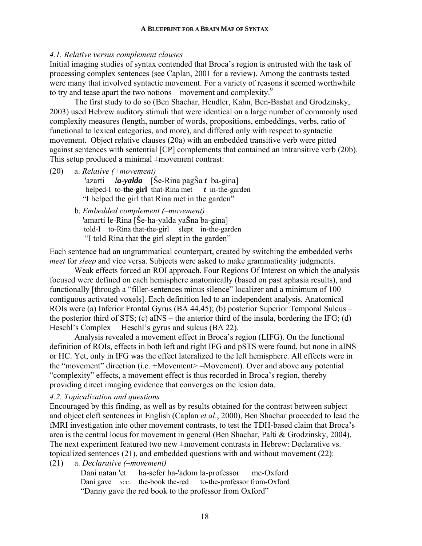## *4.1. Relative versus complement clauses*

Initial imaging studies of syntax contended that Broca's region is entrusted with the task of processing complex sentences (see Caplan, 2001 for a review). Among the contrasts tested were many that involved syntactic movement. For a variety of reasons it seemed worthwhile to try and tease apart the two notions – movement and complexity.<sup>9</sup>

The first study to do so (Ben Shachar, Hendler, Kahn, Ben-Bashat and Grodzinsky, 2003) used Hebrew auditory stimuli that were identical on a large number of commonly used complexity measures (length, number of words, propositions, embeddings, verbs, ratio of functional to lexical categories, and more), and differed only with respect to syntactic movement. Object relative clauses (20a) with an embedded transitive verb were pitted against sentences with sentential [CP] complements that contained an intransitive verb (20b). This setup produced a minimal ±movement contrast:

(20) a. *Relative (+movement)*

 'azarti *la-yalda* [Še-Rina pagŠa *t* ba-gina] helped-I to-**the-girl** that-Rina met *t* in-the-garden "I helped the girl that Rina met in the garden"

b. *Embedded complement (–movement)* 'amarti le-Rina [Še-ha-yalda yaŠna ba-gina] told-I to-Rina that-the-girl slept in-the-garden "I told Rina that the girl slept in the garden"

Each sentence had an ungrammatical counterpart, created by switching the embedded verbs – *meet* for *sleep* and vice versa. Subjects were asked to make grammaticality judgments.

Weak effects forced an ROI approach. Four Regions Of Interest on which the analysis focused were defined on each hemisphere anatomically (based on past aphasia results), and functionally [through a "filler-sentences minus silence" localizer and a minimum of 100 contiguous activated voxels]. Each definition led to an independent analysis. Anatomical ROIs were (a) Inferior Frontal Gyrus (BA 44,45); (b) posterior Superior Temporal Sulcus – the posterior third of STS; (c) aINS – the anterior third of the insula, bordering the IFG; (d) Heschl's Complex – Heschl's gyrus and sulcus (BA 22).

Analysis revealed a movement effect in Broca's region (LIFG). On the functional definition of ROIs, effects in both left and right IFG and pSTS were found, but none in aINS or HC. Yet, only in IFG was the effect lateralized to the left hemisphere. All effects were in the "movement" direction (i.e. +Movement> –Movement). Over and above any potential "complexity" effects, a movement effect is thus recorded in Broca's region, thereby providing direct imaging evidence that converges on the lesion data.

## *4.2. Topicalization and questions*

Encouraged by this finding, as well as by results obtained for the contrast between subject and object cleft sentences in English (Caplan *et al*., 2000), Ben Shachar proceeded to lead the fMRI investigation into other movement contrasts, to test the TDH-based claim that Broca's area is the central locus for movement in general (Ben Shachar, Palti & Grodzinsky, 2004). The next experiment featured two new ±movement contrasts in Hebrew: Declarative vs. topicalized sentences (21), and embedded questions with and without movement (22):

## (21) a. *Declarative (–movement)*

 Dani natan 'et ha-sefer ha-'adom la-professor me-Oxford Dani gave ACC. the-book the-red to-the-professor from-Oxford "Danny gave the red book to the professor from Oxford"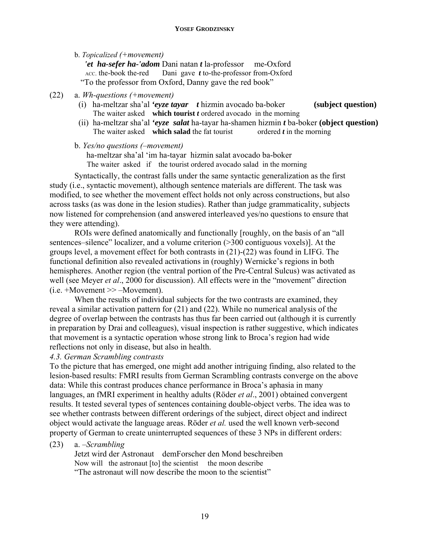b. *Topicalized (+movement)*

 *'et ha-sefer ha-'adom* Dani natan *t* la-professor me-Oxford ACC. the-book the-red Dani gave *t* to-the-professor from-Oxford "To the professor from Oxford, Danny gave the red book"

- (22) a. *Wh-questions (+movement)*
	- (i) ha-meltzar sha'al *'eyze tayar t* hizmin avocado ba-boker **(subject question)** The waiter asked **which tourist** *t* ordered avocado in the morning
	- (ii) ha-meltzar sha'al *'eyze salat* ha-tayar ha-shamen hizmin *t* ba-boker **(object question)** The waiter asked **which salad** the fat tourist ordered *t* in the morning
	- b. *Yes/no questions (–movement)*

 ha-meltzar sha'al 'im ha-tayar hizmin salat avocado ba-boker The waiter asked if the tourist ordered avocado salad in the morning

Syntactically, the contrast falls under the same syntactic generalization as the first study (i.e., syntactic movement), although sentence materials are different. The task was modified, to see whether the movement effect holds not only across constructions, but also across tasks (as was done in the lesion studies). Rather than judge grammaticality, subjects now listened for comprehension (and answered interleaved yes/no questions to ensure that they were attending).

ROIs were defined anatomically and functionally [roughly, on the basis of an "all sentences–silence" localizer, and a volume criterion (>300 contiguous voxels)]. At the groups level, a movement effect for both contrasts in (21)-(22) was found in LIFG. The functional definition also revealed activations in (roughly) Wernicke's regions in both hemispheres. Another region (the ventral portion of the Pre-Central Sulcus) was activated as well (see Meyer *et al*., 2000 for discussion). All effects were in the "movement" direction  $(i.e. +Movement \ge -Movement)$ .

When the results of individual subjects for the two contrasts are examined, they reveal a similar activation pattern for (21) and (22). While no numerical analysis of the degree of overlap between the contrasts has thus far been carried out (although it is currently in preparation by Drai and colleagues), visual inspection is rather suggestive, which indicates that movement is a syntactic operation whose strong link to Broca's region had wide reflections not only in disease, but also in health.

## *4.3. German Scrambling contrasts*

To the picture that has emerged, one might add another intriguing finding, also related to the lesion-based results: FMRI results from German Scrambling contrasts converge on the above data: While this contrast produces chance performance in Broca's aphasia in many languages, an fMRI experiment in healthy adults (Röder *et al*., 2001) obtained convergent results. It tested several types of sentences containing double-object verbs. The idea was to see whether contrasts between different orderings of the subject, direct object and indirect object would activate the language areas. Röder *et al.* used the well known verb-second property of German to create uninterrupted sequences of these 3 NPs in different orders:

## (23) a. *–Scrambling*

Jetzt wird der Astronaut demForscher den Mond beschreiben Now will the astronaut [to] the scientist the moon describe "The astronaut will now describe the moon to the scientist"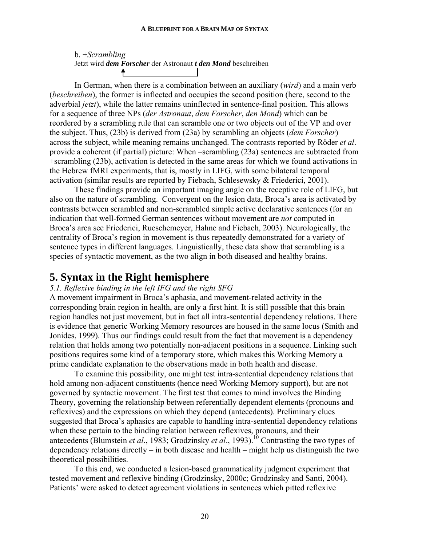b. +*Scrambling* Jetzt wird *dem Forscher* der Astronaut *t den Mond* beschreiben ╇

In German, when there is a combination between an auxiliary (*wird*) and a main verb (*beschreiben*), the former is inflected and occupies the second position (here, second to the adverbial *jetzt*), while the latter remains uninflected in sentence-final position. This allows for a sequence of three NPs (*der Astronaut*, *dem Forscher*, *den Mond*) which can be reordered by a scrambling rule that can scramble one or two objects out of the VP and over the subject. Thus, (23b) is derived from (23a) by scrambling an objects (*dem Forscher*) across the subject, while meaning remains unchanged. The contrasts reported by Röder *et al*. provide a coherent (if partial) picture: When –scrambling (23a) sentences are subtracted from +scrambling (23b), activation is detected in the same areas for which we found activations in the Hebrew fMRI experiments, that is, mostly in LIFG, with some bilateral temporal activation (similar results are reported by Fiebach, Schlesewsky & Friederici, 2001).

These findings provide an important imaging angle on the receptive role of LIFG, but also on the nature of scrambling. Convergent on the lesion data, Broca's area is activated by contrasts between scrambled and non-scrambled simple active declarative sentences (for an indication that well-formed German sentences without movement are *not* computed in Broca's area see Friederici, Rueschemeyer, Hahne and Fiebach, 2003). Neurologically, the centrality of Broca's region in movement is thus repeatedly demonstrated for a variety of sentence types in different languages. Linguistically, these data show that scrambling is a species of syntactic movement, as the two align in both diseased and healthy brains.

# **5. Syntax in the Right hemisphere**

## *5.1. Reflexive binding in the left IFG and the right SFG*

A movement impairment in Broca's aphasia, and movement-related activity in the corresponding brain region in health, are only a first hint. It is still possible that this brain region handles not just movement, but in fact all intra-sentential dependency relations. There is evidence that generic Working Memory resources are housed in the same locus (Smith and Jonides, 1999). Thus our findings could result from the fact that movement is a dependency relation that holds among two potentially non-adjacent positions in a sequence. Linking such positions requires some kind of a temporary store, which makes this Working Memory a prime candidate explanation to the observations made in both health and disease.

To examine this possibility, one might test intra-sentential dependency relations that hold among non-adjacent constituents (hence need Working Memory support), but are not governed by syntactic movement. The first test that comes to mind involves the Binding Theory, governing the relationship between referentially dependent elements (pronouns and reflexives) and the expressions on which they depend (antecedents). Preliminary clues suggested that Broca's aphasics are capable to handling intra-sentential dependency relations when these pertain to the binding relation between reflexives, pronouns, and their antecedents (Blumstein *et al*., 1983; Grodzinsky *et al*., 1993).10 Contrasting the two types of dependency relations directly – in both disease and health – might help us distinguish the two theoretical possibilities.

To this end, we conducted a lesion-based grammaticality judgment experiment that tested movement and reflexive binding (Grodzinsky, 2000c; Grodzinsky and Santi, 2004). Patients' were asked to detect agreement violations in sentences which pitted reflexive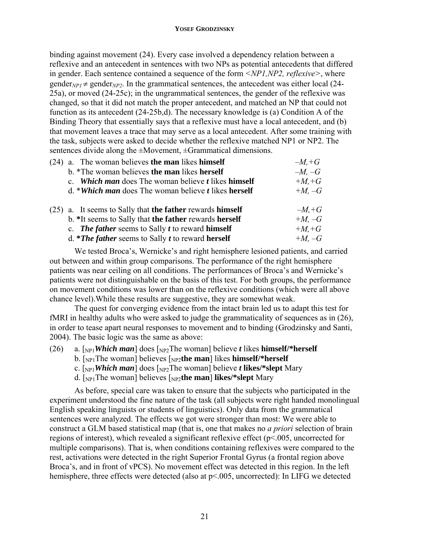binding against movement (24). Every case involved a dependency relation between a reflexive and an antecedent in sentences with two NPs as potential antecedents that differed in gender. Each sentence contained a sequence of the form *<NP1,NP2, reflexive>*, where gender<sub>NP1</sub>  $\neq$  gender<sub>NP2</sub>. In the grammatical sentences, the antecedent was either local (24-25a), or moved (24-25c); in the ungrammatical sentences, the gender of the reflexive was changed, so that it did not match the proper antecedent, and matched an NP that could not function as its antecedent (24-25b,d). The necessary knowledge is (a) Condition A of the Binding Theory that essentially says that a reflexive must have a local antecedent, and (b) that movement leaves a trace that may serve as a local antecedent. After some training with the task, subjects were asked to decide whether the reflexive matched NP1 or NP2. The sentences divide along the  $\pm$ Movement,  $\pm$ Grammatical dimensions.

| (24) a. The woman believes the man likes himself               | $-M$ , + $G$ |
|----------------------------------------------------------------|--------------|
| b. *The woman believes the man likes herself                   | $-M$ , $-G$  |
| c. Which man does The woman believe t likes himself            | $+M$ , $+G$  |
| d. * <i>Which man</i> does The woman believe $t$ likes herself | $+M$ , $-G$  |
| (25) a. It seems to Sally that the father rewards himself      | $-M+G$       |
| b. *It seems to Sally that the father rewards herself          | $+M$ , $-G$  |
| c. The father seems to Sally $t$ to reward himself             | $+M.+G$      |
| d. <i>*The father seems to Sally t to reward herself</i>       | $+M$ . $-G$  |

We tested Broca's, Wernicke's and right hemisphere lesioned patients, and carried out between and within group comparisons. The performance of the right hemisphere patients was near ceiling on all conditions. The performances of Broca's and Wernicke's patients were not distinguishable on the basis of this test. For both groups, the performance on movement conditions was lower than on the reflexive conditions (which were all above chance level).While these results are suggestive, they are somewhat weak.

The quest for converging evidence from the intact brain led us to adapt this test for fMRI in healthy adults who were asked to judge the grammaticality of sequences as in (26), in order to tease apart neural responses to movement and to binding (Grodzinsky and Santi, 2004). The basic logic was the same as above:

- (26) a.  $\lceil_{NP1}Which man \rceil$  does  $\lceil_{NP2}Thewoman \rceil$  believe *t* likes **himself**/\*herself
	- b. [NP1The woman] believes [NP2**the man**] likes **himself/\*herself**
	- c.  $\lceil_{NP1}Which man\rceil$  does  $\lceil_{NP2}The woman\rceil$  believe *t* likes/\*slept Mary
	- d. [NP1The woman] believes [NP2**the man**] **likes/\*slept** Mary

As before, special care was taken to ensure that the subjects who participated in the experiment understood the fine nature of the task (all subjects were right handed monolingual English speaking linguists or students of linguistics). Only data from the grammatical sentences were analyzed. The effects we got were stronger than most: We were able to construct a GLM based statistical map (that is, one that makes no *a priori* selection of brain regions of interest), which revealed a significant reflexive effect (p<.005, uncorrected for multiple comparisons). That is, when conditions containing reflexives were compared to the rest, activations were detected in the right Superior Frontal Gyrus (a frontal region above Broca's, and in front of vPCS). No movement effect was detected in this region. In the left hemisphere, three effects were detected (also at  $p$ <.005, uncorrected): In LIFG we detected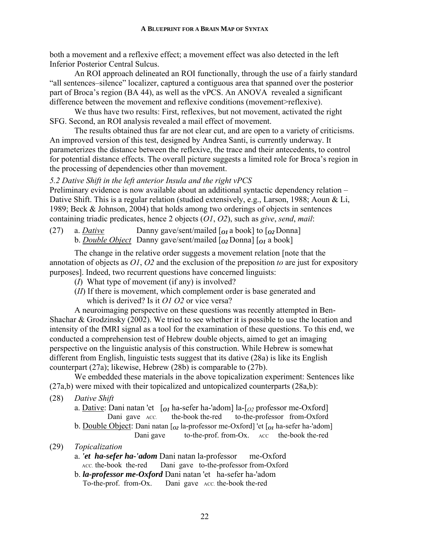both a movement and a reflexive effect; a movement effect was also detected in the left Inferior Posterior Central Sulcus.

An ROI approach delineated an ROI functionally, through the use of a fairly standard "all sentences–silence" localizer, captured a contiguous area that spanned over the posterior part of Broca's region (BA 44), as well as the vPCS. An ANOVA revealed a significant difference between the movement and reflexive conditions (movement>reflexive).

We thus have two results: First, reflexives, but not movement, activated the right SFG. Second, an ROI analysis revealed a mail effect of movement.

The results obtained thus far are not clear cut, and are open to a variety of criticisms. An improved version of this test, designed by Andrea Santi, is currently underway. It parameterizes the distance between the reflexive, the trace and their antecedents, to control for potential distance effects. The overall picture suggests a limited role for Broca's region in the processing of dependencies other than movement.

*5.2 Dative Shift in the left anterior Insula and the right vPCS* 

Preliminary evidence is now available about an additional syntactic dependency relation – Dative Shift. This is a regular relation (studied extensively, e.g., Larson, 1988; Aoun & Li, 1989; Beck & Johnson, 2004) that holds among two orderings of objects in sentences containing triadic predicates, hence 2 objects (*O1*, *O2*), such as *give*, *send*, *mail*:

(27) a. *Dative* Danny gave/sent/mailed  $\begin{bmatrix} 0_I \text{ a book} \end{bmatrix}$  to  $\begin{bmatrix} 0_2 \text{ Donna} \end{bmatrix}$ b. *Double Object* Danny gave/sent/mailed [*O2* Donna] [*O1* a book]

The change in the relative order suggests a movement relation [note that the annotation of objects as *O1*, *O2* and the exclusion of the preposition *to* are just for expository purposes]. Indeed, two recurrent questions have concerned linguists:

- (*I*) What type of movement (if any) is involved?
- (*II*) If there is movement, which complement order is base generated and which is derived? Is it *O1 O2* or vice versa?

A neuroimaging perspective on these questions was recently attempted in Ben-Shachar & Grodzinsky (2002). We tried to see whether it is possible to use the location and intensity of the fMRI signal as a tool for the examination of these questions. To this end, we conducted a comprehension test of Hebrew double objects, aimed to get an imaging perspective on the linguistic analysis of this construction. While Hebrew is somewhat different from English, linguistic tests suggest that its dative (28a) is like its English counterpart (27a); likewise, Hebrew (28b) is comparable to (27b).

We embedded these materials in the above topicalization experiment: Sentences like (27a,b) were mixed with their topicalized and untopicalized counterparts (28a,b):

(28) *Dative Shift*

a. <u>Dative</u>: Dani natan 'et  $\left[\rho_I\right]$  ha-sefer ha-'adom] la- $\left[\rho_2\right]$  professor me-Oxford] Dani gave ACC. the-book the-red to-the-professor from-Oxford b. Double Object: Dani natan [*O2* la-professor me-Oxford] 'et [*O1* ha-sefer ha-'adom] Dani gave to-the-prof. from-Ox. Acc the-book the-red

## (29) *Topicalization*

- a. *'et ha-sefer ha-'adom* Dani natan la-professor me-Oxford ACC. the-book the-red Dani gave to-the-professor from-Oxford
- b. *la-professor me-Oxford* Dani natan 'et ha-sefer ha-'adom To-the-prof. from-Ox. Dani gave ACC. the-book the-red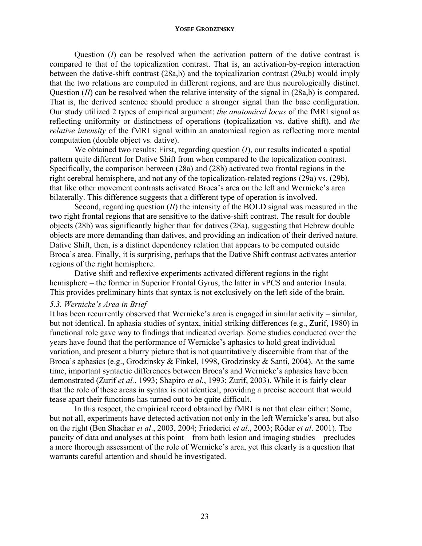Question (*I*) can be resolved when the activation pattern of the dative contrast is compared to that of the topicalization contrast. That is, an activation-by-region interaction between the dative-shift contrast (28a,b) and the topicalization contrast (29a,b) would imply that the two relations are computed in different regions, and are thus neurologically distinct. Question (*II*) can be resolved when the relative intensity of the signal in (28a,b) is compared. That is, the derived sentence should produce a stronger signal than the base configuration. Our study utilized 2 types of empirical argument: *the anatomical locus* of the fMRI signal as reflecting uniformity or distinctness of operations (topicalization vs. dative shift), and *the relative intensity* of the fMRI signal within an anatomical region as reflecting more mental computation (double object vs. dative).

We obtained two results: First, regarding question (*I*), our results indicated a spatial pattern quite different for Dative Shift from when compared to the topicalization contrast. Specifically, the comparison between (28a) and (28b) activated two frontal regions in the right cerebral hemisphere, and not any of the topicalization-related regions (29a) vs. (29b), that like other movement contrasts activated Broca's area on the left and Wernicke's area bilaterally. This difference suggests that a different type of operation is involved.

Second, regarding question (*II*) the intensity of the BOLD signal was measured in the two right frontal regions that are sensitive to the dative-shift contrast. The result for double objects (28b) was significantly higher than for datives (28a), suggesting that Hebrew double objects are more demanding than datives, and providing an indication of their derived nature. Dative Shift, then, is a distinct dependency relation that appears to be computed outside Broca's area. Finally, it is surprising, perhaps that the Dative Shift contrast activates anterior regions of the right hemisphere.

Dative shift and reflexive experiments activated different regions in the right hemisphere – the former in Superior Frontal Gyrus, the latter in vPCS and anterior Insula. This provides preliminary hints that syntax is not exclusively on the left side of the brain.

### *5.3. Wernicke's Area in Brief*

It has been recurrently observed that Wernicke's area is engaged in similar activity – similar, but not identical. In aphasia studies of syntax, initial striking differences (e.g., Zurif, 1980) in functional role gave way to findings that indicated overlap. Some studies conducted over the years have found that the performance of Wernicke's aphasics to hold great individual variation, and present a blurry picture that is not quantitatively discernible from that of the Broca's aphasics (e.g., Grodzinsky & Finkel, 1998, Grodzinsky & Santi, 2004). At the same time, important syntactic differences between Broca's and Wernicke's aphasics have been demonstrated (Zurif *et al.*, 1993; Shapiro *et al.*, 1993; Zurif, 2003). While it is fairly clear that the role of these areas in syntax is not identical, providing a precise account that would tease apart their functions has turned out to be quite difficult.

In this respect, the empirical record obtained by fMRI is not that clear either: Some, but not all, experiments have detected activation not only in the left Wernicke's area, but also on the right (Ben Shachar *et al*., 2003, 2004; Friederici *et al*., 2003; Röder *et al*. 2001). The paucity of data and analyses at this point – from both lesion and imaging studies – precludes a more thorough assessment of the role of Wernicke's area, yet this clearly is a question that warrants careful attention and should be investigated.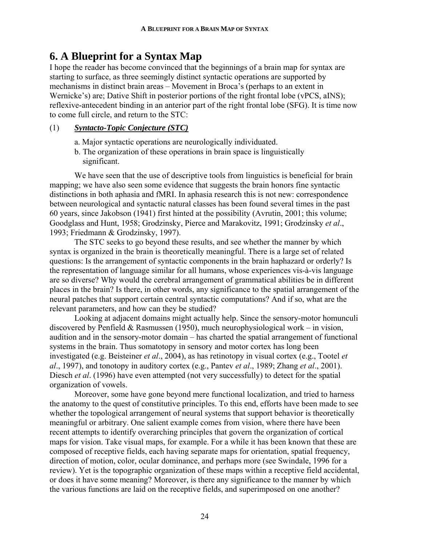# **6. A Blueprint for a Syntax Map**

I hope the reader has become convinced that the beginnings of a brain map for syntax are starting to surface, as three seemingly distinct syntactic operations are supported by mechanisms in distinct brain areas – Movement in Broca's (perhaps to an extent in Wernicke's) are; Dative Shift in posterior portions of the right frontal lobe (vPCS, aINS); reflexive-antecedent binding in an anterior part of the right frontal lobe (SFG). It is time now to come full circle, and return to the STC:

## (1) *Syntacto-Topic Conjecture (STC)*

- a. Major syntactic operations are neurologically individuated.
- b. The organization of these operations in brain space is linguistically significant.

We have seen that the use of descriptive tools from linguistics is beneficial for brain mapping; we have also seen some evidence that suggests the brain honors fine syntactic distinctions in both aphasia and fMRI. In aphasia research this is not new: correspondence between neurological and syntactic natural classes has been found several times in the past 60 years, since Jakobson (1941) first hinted at the possibility (Avrutin, 2001; this volume; Goodglass and Hunt, 1958; Grodzinsky, Pierce and Marakovitz, 1991; Grodzinsky *et al*., 1993; Friedmann & Grodzinsky, 1997).

The STC seeks to go beyond these results, and see whether the manner by which syntax is organized in the brain is theoretically meaningful. There is a large set of related questions: Is the arrangement of syntactic components in the brain haphazard or orderly? Is the representation of language similar for all humans, whose experiences vis-à-vis language are so diverse? Why would the cerebral arrangement of grammatical abilities be in different places in the brain? Is there, in other words, any significance to the spatial arrangement of the neural patches that support certain central syntactic computations? And if so, what are the relevant parameters, and how can they be studied?

Looking at adjacent domains might actually help. Since the sensory-motor homunculi discovered by Penfield & Rasmussen (1950), much neurophysiological work – in vision, audition and in the sensory-motor domain – has charted the spatial arrangement of functional systems in the brain. Thus somatotopy in sensory and motor cortex has long been investigated (e.g. Beisteiner *et al*., 2004), as has retinotopy in visual cortex (e.g., Tootel *et al*., 1997), and tonotopy in auditory cortex (e.g., Pantev *et al*., 1989; Zhang *et al*., 2001). Diesch *et al*. (1996) have even attempted (not very successfully) to detect for the spatial organization of vowels.

Moreover, some have gone beyond mere functional localization, and tried to harness the anatomy to the quest of constitutive principles. To this end, efforts have been made to see whether the topological arrangement of neural systems that support behavior is theoretically meaningful or arbitrary. One salient example comes from vision, where there have been recent attempts to identify overarching principles that govern the organization of cortical maps for vision. Take visual maps, for example. For a while it has been known that these are composed of receptive fields, each having separate maps for orientation, spatial frequency, direction of motion, color, ocular dominance, and perhaps more (see Swindale, 1996 for a review). Yet is the topographic organization of these maps within a receptive field accidental, or does it have some meaning? Moreover, is there any significance to the manner by which the various functions are laid on the receptive fields, and superimposed on one another?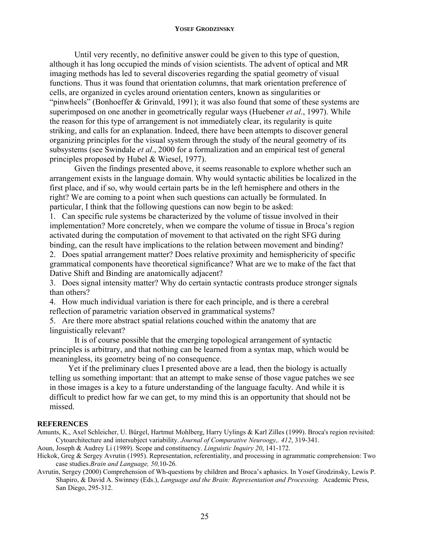Until very recently, no definitive answer could be given to this type of question, although it has long occupied the minds of vision scientists. The advent of optical and MR imaging methods has led to several discoveries regarding the spatial geometry of visual functions. Thus it was found that orientation columns, that mark orientation preference of cells, are organized in cycles around orientation centers, known as singularities or "pinwheels" (Bonhoeffer & Grinvald, 1991); it was also found that some of these systems are superimposed on one another in geometrically regular ways (Huebener *et al*., 1997). While the reason for this type of arrangement is not immediately clear, its regularity is quite striking, and calls for an explanation. Indeed, there have been attempts to discover general organizing principles for the visual system through the study of the neural geometry of its subsystems (see Swindale *et al*., 2000 for a formalization and an empirical test of general principles proposed by Hubel & Wiesel, 1977).

Given the findings presented above, it seems reasonable to explore whether such an arrangement exists in the language domain. Why would syntactic abilities be localized in the first place, and if so, why would certain parts be in the left hemisphere and others in the right? We are coming to a point when such questions can actually be formulated. In particular, I think that the following questions can now begin to be asked:

1. Can specific rule systems be characterized by the volume of tissue involved in their implementation? More concretely, when we compare the volume of tissue in Broca's region activated during the computation of movement to that activated on the right SFG during binding, can the result have implications to the relation between movement and binding?

2. Does spatial arrangement matter? Does relative proximity and hemisphericity of specific grammatical components have theoretical significance? What are we to make of the fact that Dative Shift and Binding are anatomically adjacent?

3. Does signal intensity matter? Why do certain syntactic contrasts produce stronger signals than others?

4. How much individual variation is there for each principle, and is there a cerebral reflection of parametric variation observed in grammatical systems?

5. Are there more abstract spatial relations couched within the anatomy that are linguistically relevant?

It is of course possible that the emerging topological arrangement of syntactic principles is arbitrary, and that nothing can be learned from a syntax map, which would be meaningless, its geometry being of no consequence.

Yet if the preliminary clues I presented above are a lead, then the biology is actually telling us something important: that an attempt to make sense of those vague patches we see in those images is a key to a future understanding of the language faculty. And while it is difficult to predict how far we can get, to my mind this is an opportunity that should not be missed.

#### **REFERENCES**

Amunts, K., Axel Schleicher, U. Bürgel, Hartmut Mohlberg, Harry Uylings & Karl Zilles (1999). Broca's region revisited: Cytoarchitecture and intersubject variability. *Journal of Comparative Neuroogy,. 412*, 319-341.

Aoun, Joseph & Audrey Li (1989). Scope and constituency. *Linguistic Inquiry 20*, 141-172. Hickok, Greg & Sergey Avrutin (1995). Representation, referentiality, and processing in agrammatic comprehension: Two case studies.*Brain and Language, 50,*10-26*.* 

Avrutin, Sergey (2000) Comprehension of Wh-questions by children and Broca's aphasics. In Yosef Grodzinsky, Lewis P. Shapiro, & David A. Swinney (Eds.), *Language and the Brain: Representation and Processing.* Academic Press, San Diego, 295-312.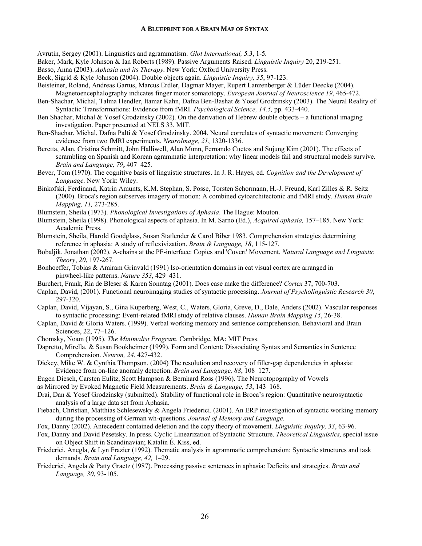#### **A BLUEPRINT FOR A BRAIN MAP OF SYNTAX**

Avrutin, Sergey (2001). Linguistics and agrammatism. *Glot International, 5.3*, 1-5*.*

- Baker, Mark, Kyle Johnson & Ian Roberts (1989). Passive Arguments Raised. *Linguistic Inquiry* 20, 219-251.
- Basso, Anna (2003). *Aphasia and its Therapy*. New York: Oxford University Press.
- Beck, Sigrid & Kyle Johnson (2004). Double objects again. *Linguistic Inquiry, 35*, 97-123.
- Beisteiner, Roland, Andreas Gartus, Marcus Erdler, Dagmar Mayer, Rupert Lanzenberger & Lüder Deecke (2004).
- Magnetoencephalography indicates finger motor somatotopy. *European Journal of Neuroscience 19*, 465-472. Ben-Shachar, Michal, Talma Hendler, Itamar Kahn, Dafna Ben-Bashat & Yosef Grodzinsky (2003). The Neural Reality of

Syntactic Transformations: Evidence from fMRI. *Psychological Science, 14.5,* pp. 433-440.

- Ben Shachar, Michal & Yosef Grodzinsky (2002). On the derivation of Hebrew double objects a functional imaging investigation. Paper presented at NELS 33, MIT.
- Ben-Shachar, Michal, Dafna Palti & Yosef Grodzinsky. 2004. Neural correlates of syntactic movement: Converging evidence from two fMRI experiments. *NeuroImage, 21*, 1320-1336.
- Beretta, Alan, Cristina Schmitt, John Halliwell, Alan Munn, Fernando Cuetos and Sujung Kim (2001). The effects of scrambling on Spanish and Korean agrammatic interpretation: why linear models fail and structural models survive. *Brain and Language, 79***,** 407–425*.*
- Bever, Tom (1970). The cognitive basis of linguistic structures. In J. R. Hayes, ed. *Cognition and the Development of Language*. New York: Wiley.
- Binkofski, Ferdinand, Katrin Amunts, K.M. Stephan, S. Posse, Torsten Schormann, H.-J. Freund, Karl Zilles & R. Seitz (2000). Broca's region subserves imagery of motion: A combined cytoarchitectonic and fMRI study. *Human Brain Mapping, 11,* 273-285.
- Blumstein, Sheila (1973). *Phonological Investigations of Aphasia*. The Hague: Mouton.
- Blumstein, Sheila (1998). Phonological aspects of aphasia. In M. Sarno (Ed.), *Acquired aphasia,* 157–185. New York: Academic Press.
- Blumstein, Sheila, Harold Goodglass, Susan Statlender & Carol Biber 1983. Comprehension strategies determining reference in aphasia: A study of reflexivization. *Brain & Language, 18*, 115-127.
- Bobaljik. Jonathan (2002). A-chains at the PF-interface: Copies and 'Covert' Movement. *Natural Language and Linguistic Theory*, *20*, 197-267.
- Bonhoeffer, Tobias & Amiram Grinvald (1991) Iso-orientation domains in cat visual cortex are arranged in pinwheel-like patterns. *Nature 353*, 429–431.
- Burchert, Frank, Ria de Bleser & Karen Sonntag (2001). Does case make the difference? *Cortex* 37, 700-703.
- Caplan, David, (2001). Functional neuroimaging studies of syntactic processing. *Journal of Psycholinguistic Research 30*, 297-320.
- Caplan, David, Vijayan, S., Gina Kuperberg, West, C., Waters, Gloria, Greve, D., Dale, Anders (2002). Vascular responses to syntactic processing: Event-related fMRI study of relative clauses. *Human Brain Mapping 15*, 26-38.
- Caplan, David & Gloria Waters. (1999). Verbal working memory and sentence comprehension. Behavioral and Brain Sciences, 22, 77–126.
- Chomsky, Noam (1995). *The Minimalist Program*. Cambridge, MA: MIT Press.
- Dapretto, Mirella, & Susan Bookheimer (1999). Form and Content: Dissociating Syntax and Semantics in Sentence Comprehension. *Neuron, 24*, 427-432.
- Dickey, Mike W. & Cynthia Thompson. (2004) The resolution and recovery of filler-gap dependencies in aphasia: Evidence from on-line anomaly detection. *Brain and Language, 88*, 108–127.
- Eugen Diesch, Carsten Eulitz, Scott Hampson & Bernhard Ross (1996). The Neurotopography of Vowels
- as Mirrored by Evoked Magnetic Field Measurements. *Brain & Language, 53*, 143–168.
- Drai, Dan & Yosef Grodzinsky (submitted). Stability of functional role in Broca's region: Quantitative neurosyntactic analysis of a large data set from Aphasia.
- Fiebach, Christian, Matthias Schlesewsky & Angela Friederici. (2001). An ERP investigation of syntactic working memory during the processing of German wh-questions. *Journal of Memory and Language*.
- Fox, Danny (2002). Antecedent contained deletion and the copy theory of movement. *Linguistic Inquiry, 33*, 63-96.
- Fox, Danny and David Pesetsky. In press. Cyclic Linearization of Syntactic Structure. *Theoretical Linguistics,* special issue on Object Shift in Scandinavian; Katalin É. Kiss, ed.
- Friederici, Anegla, & Lyn Frazier (1992). Thematic analysis in agrammatic comprehension: Syntactic structures and task demands. *Brain and Language, 42,* 1–29.
- Friederici, Angela & Patty Graetz (1987). Processing passive sentences in aphasia: Deficits and strategies. *Brain and Language, 30*, 93-105.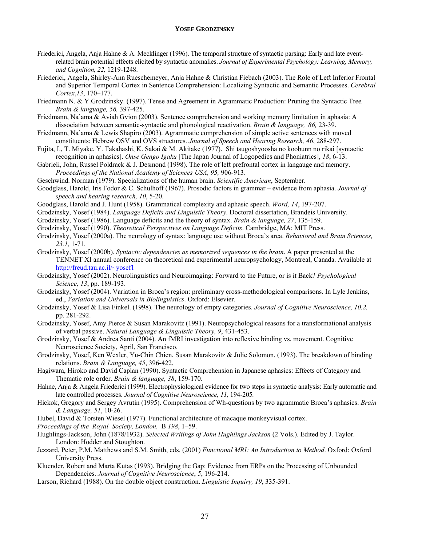Friederici, Angela, Anja Hahne & A. Mecklinger (1996). The temporal structure of syntactic parsing: Early and late eventrelated brain potential effects elicited by syntactic anomalies. *Journal of Experimental Psychology: Learning, Memory, and Cognition, 22,* 1219-1248.

- Friederici, Angela, Shirley-Ann Rueschemeyer, Anja Hahne & Christian Fiebach (2003). The Role of Left Inferior Frontal and Superior Temporal Cortex in Sentence Comprehension: Localizing Syntactic and Semantic Processes. *Cerebral Cortex*,*13*, 170–177.
- Friedmann N. & Y.Grodzinsky. (1997). Tense and Agreement in Agrammatic Production: Pruning the Syntactic Tree*. Brain & language, 56,* 397-425.
- Friedmann, Na'ama & Aviah Gvion (2003). Sentence comprehension and working memory limitation in aphasia: A dissociation between semantic-syntactic and phonological reactivation. *Brain & language, 86,* 23-39.
- Friedmann, Na'ama & Lewis Shapiro (2003). Agrammatic comprehension of simple active sentences with moved constituents: Hebrew OSV and OVS structures. *Journal of Speech and Hearing Research, 46*, 288-297.
- Fujita, I., T. Miyake, Y. Takahashi, K. Sakai & M. Akitake (1977). Shi tsugoshyoosha no koobunn no rikai [syntactic recognition in aphasics]. *Onse Gengo Igaku* [The Japan Journal of Logopedics and Phoniatrics], *18*, 6-13.
- Gabrieli, John, Russel Poldrack & J. Desmond (1998). The role of left prefrontal cortex in langauge and memory. *Proceedings of the National Academy of Sciences USA, 95,* 906-913.
- Geschwind. Norman (1979). Specializations of the human brain. *Scientific American*, September.
- Goodglass, Harold, Iris Fodor & C. Schulhoff (1967). Prosodic factors in grammar evidence from aphasia. *Journal of speech and hearing research, 10*, 5-20.
- Goodglass, Harold and J. Hunt (1958). Grammatical complexity and aphasic speech. *Word, 14*, 197-207.
- Grodzinsky, Yosef (1984). *Language Deficits and Linguistic Theory*. Doctoral dissertation, Brandeis University.
- Grodzinsky, Yosef (1986). Language deficits and the theory of syntax. *Brain & language, 27*, 135-159.
- Grodzinsky, Yosef (1990). *Theoretical Perspectives on Language Deficits*. Cambridge, MA: MIT Press.
- Grodzinsky, Yosef (2000a). The neurology of syntax: language use without Broca's area. *Behavioral and Brain Sciences, 23.1,* 1-71.
- Grodzinsky, Yosef (2000b). *Syntactic dependencies as memorized sequences in the brain*. A paper presented at the TENNET XI annual conference on theoretical and experimental neuropsychology, Montreal, Canada. Available at http://freud.tau.ac.il/~yosef1
- Grodzinsky, Yosef (2002). Neurolinguistics and Neuroimaging: Forward to the Future, or is it Back? *Psychological Science, 13*, pp. 189-193.
- Grodzinsky, Yosef (2004). Variation in Broca's region: preliminary cross-methodological comparisons. In Lyle Jenkins, ed., *Variation and Universals in Biolinguistics*. Oxford: Elsevier.
- Grodzinsky, Yosef & Lisa Finkel. (1998). The neurology of empty categories. *Journal of Cognitive Neuroscience, 10.2,*  pp. 281-292.
- Grodzinsky, Yosef, Amy Pierce & Susan Marakovitz (1991). Neuropsychological reasons for a transformational analysis of verbal passive. *Natural Language & Linguistic Theory, 9*, 431-453.
- Grodzinsky, Yosef & Andrea Santi (2004). An fMRI investigation into reflexive binding vs. movement. Cognitive Neuroscience Society, April, San Francisco.
- Grodzinsky, Yosef, Ken Wexler, Yu-Chin Chien, Susan Marakovitz & Julie Solomon. (1993). The breakdown of binding relations. *Brain & Language, 45*, 396-422.
- Hagiwara, Hiroko and David Caplan (1990). Syntactic Comprehension in Japanese aphasics: Effects of Category and Thematic role order. *Brain & language, 38*, 159-170.
- Hahne, Anja & Angela Friederici (1999). Electrophysiological evidence for two steps in syntactic analysis: Early automatic and late controlled processes. *Journal of Cognitive Neuroscience, 11,* 194-205*.*
- Hickok, Gregory and Sergey Avrutin (1995). Comprehension of Wh-questions by two agrammatic Broca's aphasics. *Brain & Language, 51*, 10-26.
- Hubel, David & Torsten Wiesel (1977). Functional architecture of macaque monkeyvisual cortex.
- *Proceedings of the Royal Society, London,* B *198*, 1–59.
- Hughlings-Jackson, John (1878/1932). *Selected Writings of John Hughlings Jackson* (2 Vols.). Edited by J. Taylor. London: Hodder and Stoughton.
- Jezzard, Peter, P.M. Matthews and S.M. Smith, eds. (2001) *Functional MRI: An Introduction to Method*. Oxford: Oxford University Press.
- Kluender, Robert and Marta Kutas (1993). Bridging the Gap: Evidence from ERPs on the Processing of Unbounded Dependencies. *Journal of Cognitive Neuroscience*, *5*, 196-214.
- Larson, Richard (1988). On the double object construction. *Linguistic Inquiry, 19*, 335-391.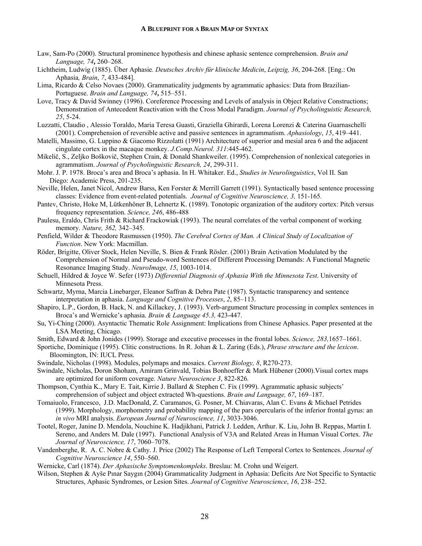#### **A BLUEPRINT FOR A BRAIN MAP OF SYNTAX**

- Law, Sam-Po (2000). Structural prominence hypothesis and chinese aphasic sentence comprehension. *Brain and Language, 74***,** 260–268.
- Lichtheim, Ludwig (1885). Über Aphasie*. Deutsches Archiv für klinische Medicin*, *Leipzig, 36*, 204-268. [Eng.: On Aphasia*, Brain*, *7*, 433-484].
- Lima, Ricardo & Celso Novaes (2000). Grammaticality judgments by agrammatic aphasics: Data from Brazilian-Portuguese. *Brain and Language, 74***,** 515–551.
- Love, Tracy & David Swinney (1996). Coreference Processing and Levels of analysis in Object Relative Constructions; Demonstration of Antecedent Reactivation with the Cross Modal Paradigm. *Journal of Psycholinguistic Research, 25*, 5-24.
- Luzzatti, Claudio , Alessio Toraldo, Maria Teresa Guasti, Graziella Ghirardi, Lorena Lorenzi & Caterina Guarnaschelli (2001). Comprehension of reversible active and passive sentences in agrammatism. *Aphasiology*, *15*, 419–441.
- Matelli, Massimo, G. Luppino & Giacomo Rizzolatti (1991) Architecture of superior and mesial area 6 and the adjacent cingulate cortex in the macaque monkey. *J.Comp.Neurol. 311*:445-462.
- Mikelič, S., Zeljko Boškovič, Stephen Crain, & Donald Shankweiler. (1995). Comprehension of nonlexical categories in agrammatism. *Journal of Psycholinguistic Research, 24*, 299-311.
- Mohr. J. P. 1978. Broca's area and Broca's aphasia. In H. Whitaker. Ed., *Studies in Neurolinguistics*, Vol II. San Diego: Academic Press, 201-235.
- Neville, Helen, Janet Nicol, Andrew Barss, Ken Forster & Merrill Garrett (1991). Syntactically based sentence processing classes: Evidence from event-related potentials. *Journal of Cognitive Neuroscience, 3,* 151*-*165*.*
- Pantev, Christo, Hoke M, Lütkenhöner B, Lehnertz K. (1989). Tonotopic organization of the auditory cortex: Pitch versus frequency representation. *Science, 246*, 486-488
- Paulesu, Eraldo, Chris Frith & Richard Frackowiak (1993). The neural correlates of the verbal component of working memory. *Nature, 362,* 342–345.
- Penfield, Wilder & Theodore Rasmussen (1950). *The Cerebral Cortex of Man. A Clinical Study of Localization of Function*. New York: Macmillan.
- Röder, Brigitte, Oliver Stock, Helen Neville, S. Bien & Frank Rösler. (2001) Brain Activation Modulated by the Comprehension of Normal and Pseudo-word Sentences of Different Processing Demands: A Functional Magnetic Resonance Imaging Study. *NeuroImage, 15*, 1003-1014.
- Schuell, Hildred & Joyce W. Sefer (1973) *Differential Diagnosis of Aphasia With the Minnesota Test*. University of Minnesota Press.
- Schwartz, Myrna, Marcia Linebarger, Eleanor Saffran & Debra Pate (1987). Syntactic transparency and sentence interpretation in aphasia. *Language and Cognitive Processes*, *2*, 85–113.
- Shapiro, L.P., Gordon, B. Hack, N. and Killackey, J. (1993). Verb-argument Structure processing in complex sentences in Broca's and Wernicke's aphasia. *Brain & Language 45.3,* 423-447.
- Su, Yi-Ching (2000). Asyntactic Thematic Role Assignment: Implications from Chinese Aphasics. Paper presented at the LSA Meeting, Chicago.
- Smith, Edward & John Jonides (1999). Storage and executive processes in the frontal lobes. *Science, 283,*1657–1661.
- Sportiche, Dominique (1995). Clitic constructions. In R. Johan & L. Zaring (Eds.), *Phrase structure and the lexicon*. Bloomington, IN: IUCL Press.
- Swindale, Nicholas (1998). Modules, polymaps and mosaics. *Current Biology, 8*, R270-273.
- Swindale, Nicholas, Doron Shoham, Amiram Grinvald, Tobias Bonhoeffer & Mark Hübener (2000).Visual cortex maps are optimized for uniform coverage. *Nature Neuroscience 3*, 822-826*.*
- Thompson, Cynthia K., Mary E. Tait, Kirrie J. Ballard & Stephen C. Fix (1999). Agrammatic aphasic subjects' comprehension of subject and object extracted Wh-questions. *Brain and Language, 67*, 169–187.
- Tomaiuolo, Francesco, J.D. MacDonald, Z. Caramanos, G. Posner, M. Chiavaras, Alan C. Evans & Michael Petrides (1999). Morphology, morphometry and probability mapping of the pars opercularis of the inferior frontal gyrus: an *in vivo* MRI analysis. *European Journal of Neuroscience, 11*, 3033-3046.
- Tootel, Roger, Janine D. Mendola, Nouchine K. Hadjikhani, Patrick J. Ledden, Arthur. K. Liu, John B. Reppas, Martin I. Sereno, and Anders M. Dale (1997). Functional Analysis of V3A and Related Areas in Human Visual Cortex. *The Journal of Neuroscience, 17*, 7060–7078.
- Vandenberghe, R. A. C. Nobre & Cathy. J. Price (2002) The Response of Left Temporal Cortex to Sentences. *Journal of Cognitive Neuroscience 14*, 550–560.
- Wernicke, Carl (1874). *Der Aphasische Symptomenkompleks*. Breslau: M. Crohn und Weigert.
- Wilson, Stephen & Ayše Pınar Saygın (2004) Grammaticality Judgment in Aphasia: Deficits Are Not Specific to Syntactic Structures, Aphasic Syndromes, or Lesion Sites. *Journal of Cognitive Neuroscience*, *16*, 238–252.